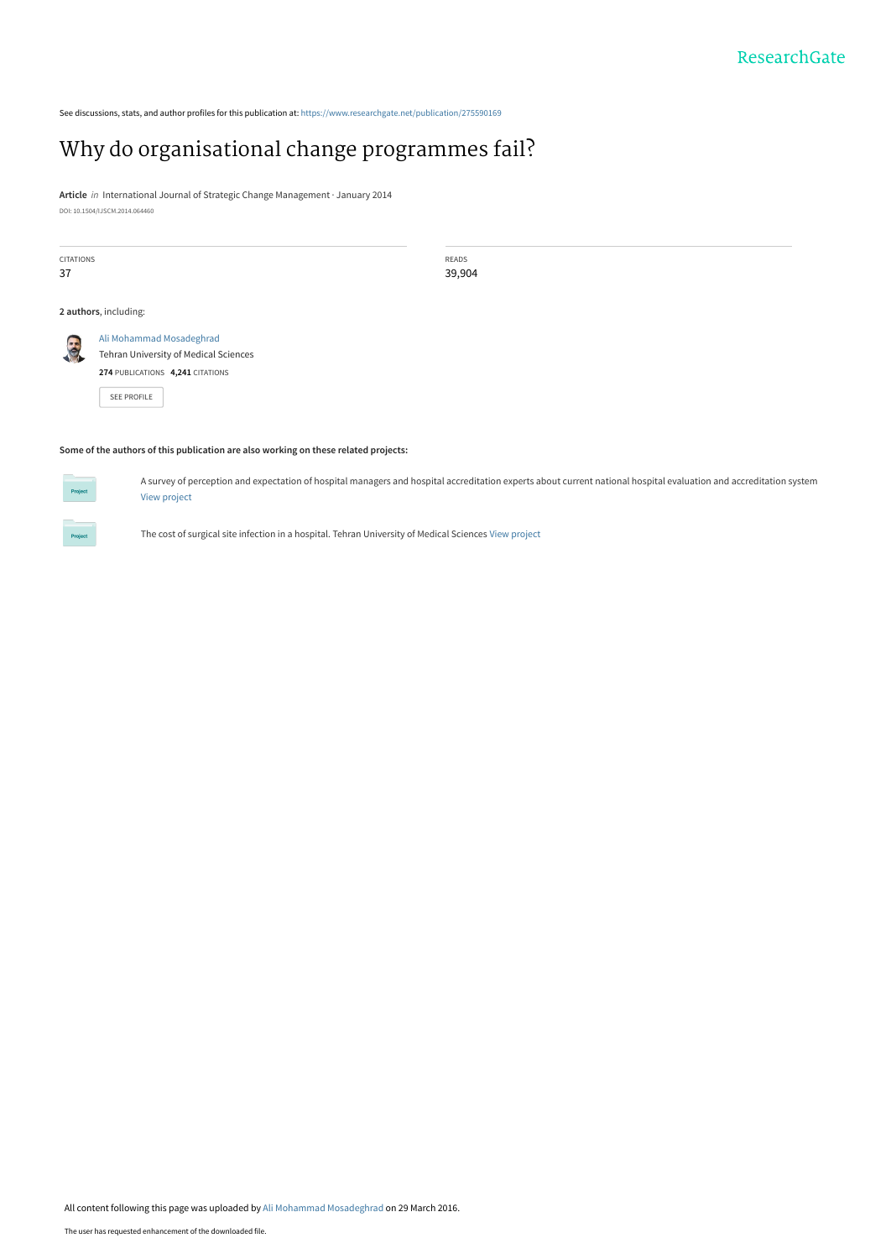See discussions, stats, and author profiles for this publication at: [https://www.researchgate.net/publication/275590169](https://www.researchgate.net/publication/275590169_Why_do_organisational_change_programmes_fail?enrichId=rgreq-f88384f34d807b81226814da7a92553f-XXX&enrichSource=Y292ZXJQYWdlOzI3NTU5MDE2OTtBUzozNDQ5NTY1NjU3NzAyNDFAMTQ1OTI1NTQ2MjM0OA%3D%3D&el=1_x_2&_esc=publicationCoverPdf)

# [Why do organisational change programmes fail?](https://www.researchgate.net/publication/275590169_Why_do_organisational_change_programmes_fail?enrichId=rgreq-f88384f34d807b81226814da7a92553f-XXX&enrichSource=Y292ZXJQYWdlOzI3NTU5MDE2OTtBUzozNDQ5NTY1NjU3NzAyNDFAMTQ1OTI1NTQ2MjM0OA%3D%3D&el=1_x_3&_esc=publicationCoverPdf)

**Article** in International Journal of Strategic Change Management · January 2014 DOI: 10.1504/IJSCM.2014.064460

| <b>CITATIONS</b><br>37 |                                                                                                                      | READS<br>39,904 |  |
|------------------------|----------------------------------------------------------------------------------------------------------------------|-----------------|--|
|                        | 2 authors, including:                                                                                                |                 |  |
| E                      | Ali Mohammad Mosadeghrad<br>Tehran University of Medical Sciences<br>274 PUBLICATIONS 4,241 CITATIONS<br>SEE PROFILE |                 |  |
|                        | Some of the authors of this publication are also working on these related projects:                                  |                 |  |



A survey of perception and expectation of hospital managers and hospital accreditation experts about current national hospital evaluation and accreditation system [View project](https://www.researchgate.net/project/A-survey-of-perception-and-expectation-of-hospital-managers-and-hospital-accreditation-experts-about-current-national-hospital-evaluation-and-accreditation-system?enrichId=rgreq-f88384f34d807b81226814da7a92553f-XXX&enrichSource=Y292ZXJQYWdlOzI3NTU5MDE2OTtBUzozNDQ5NTY1NjU3NzAyNDFAMTQ1OTI1NTQ2MjM0OA%3D%3D&el=1_x_9&_esc=publicationCoverPdf)



The cost of surgical site infection in a hospital. Tehran University of Medical Sciences [View project](https://www.researchgate.net/project/The-cost-of-surgical-site-infection-in-a-hospital-Tehran-University-of-Medical-Sciences?enrichId=rgreq-f88384f34d807b81226814da7a92553f-XXX&enrichSource=Y292ZXJQYWdlOzI3NTU5MDE2OTtBUzozNDQ5NTY1NjU3NzAyNDFAMTQ1OTI1NTQ2MjM0OA%3D%3D&el=1_x_9&_esc=publicationCoverPdf)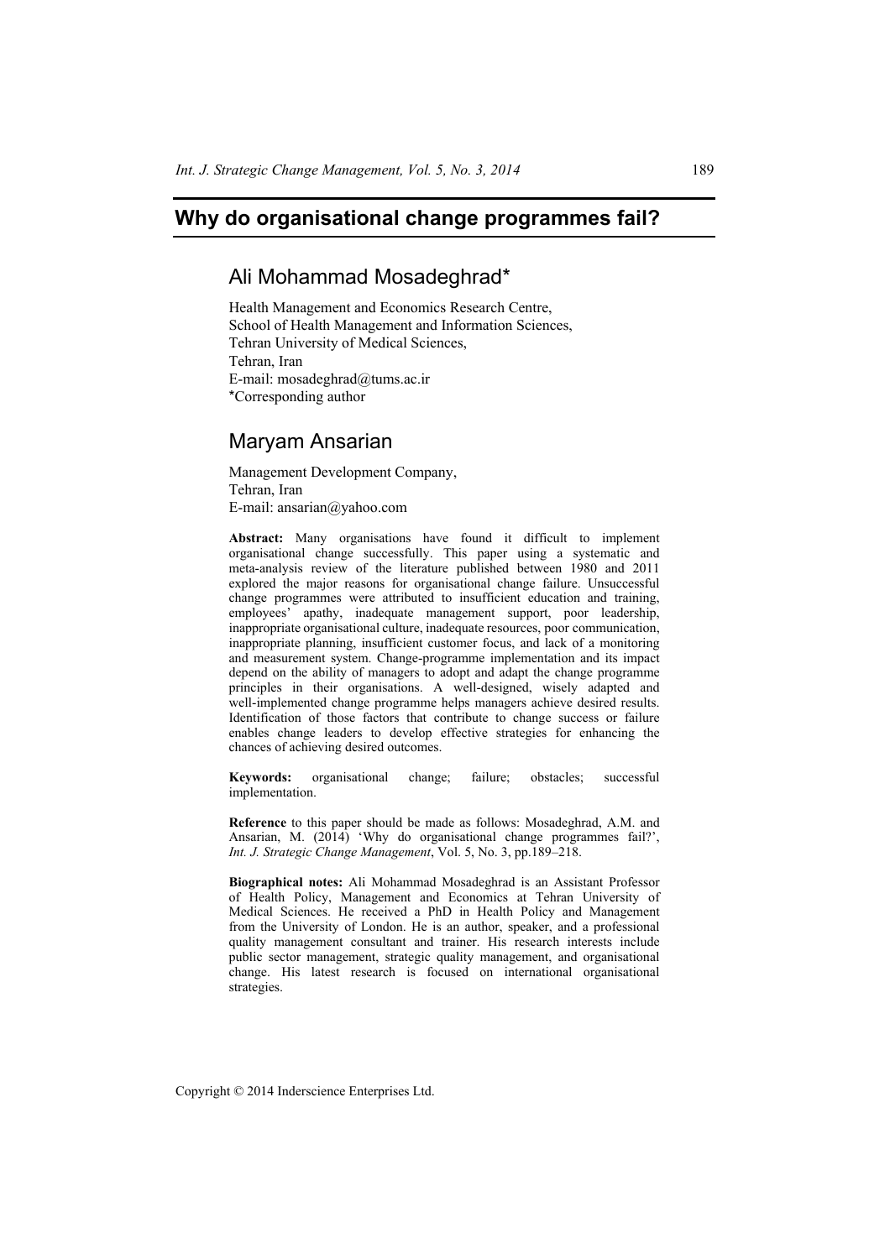# **Why do organisational change programmes fail?**

# Ali Mohammad Mosadeghrad\*

Health Management and Economics Research Centre, School of Health Management and Information Sciences, Tehran University of Medical Sciences, Tehran, Iran E-mail: mosadeghrad@tums.ac.ir \*Corresponding author

# Maryam Ansarian

Management Development Company, Tehran, Iran E-mail: ansarian@yahoo.com

**Abstract:** Many organisations have found it difficult to implement organisational change successfully. This paper using a systematic and meta-analysis review of the literature published between 1980 and 2011 explored the major reasons for organisational change failure. Unsuccessful change programmes were attributed to insufficient education and training, employees' apathy, inadequate management support, poor leadership, inappropriate organisational culture, inadequate resources, poor communication, inappropriate planning, insufficient customer focus, and lack of a monitoring and measurement system. Change-programme implementation and its impact depend on the ability of managers to adopt and adapt the change programme principles in their organisations. A well-designed, wisely adapted and well-implemented change programme helps managers achieve desired results. Identification of those factors that contribute to change success or failure enables change leaders to develop effective strategies for enhancing the chances of achieving desired outcomes.

**Keywords:** organisational change; failure; obstacles; successful implementation.

**Reference** to this paper should be made as follows: Mosadeghrad, A.M. and Ansarian, M. (2014) 'Why do organisational change programmes fail?', *Int. J. Strategic Change Management*, Vol. 5, No. 3, pp.189–218.

**Biographical notes:** Ali Mohammad Mosadeghrad is an Assistant Professor of Health Policy, Management and Economics at Tehran University of Medical Sciences. He received a PhD in Health Policy and Management from the University of London. He is an author, speaker, and a professional quality management consultant and trainer. His research interests include public sector management, strategic quality management, and organisational change. His latest research is focused on international organisational strategies.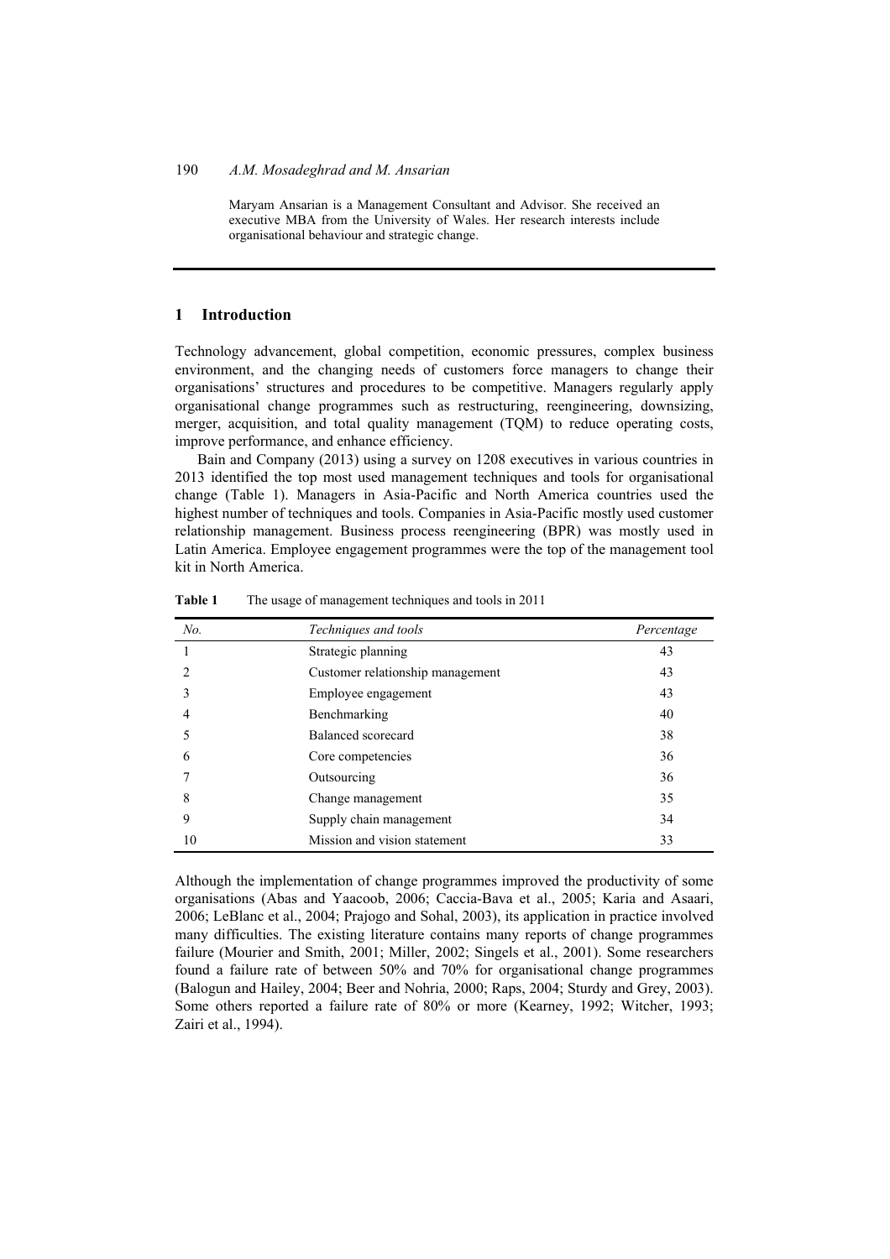Maryam Ansarian is a Management Consultant and Advisor. She received an executive MBA from the University of Wales. Her research interests include organisational behaviour and strategic change.

# **1 Introduction**

Technology advancement, global competition, economic pressures, complex business environment, and the changing needs of customers force managers to change their organisations' structures and procedures to be competitive. Managers regularly apply organisational change programmes such as restructuring, reengineering, downsizing, merger, acquisition, and total quality management (TQM) to reduce operating costs, improve performance, and enhance efficiency.

Bain and Company (2013) using a survey on 1208 executives in various countries in 2013 identified the top most used management techniques and tools for organisational change (Table 1). Managers in Asia-Pacific and North America countries used the highest number of techniques and tools. Companies in Asia-Pacific mostly used customer relationship management. Business process reengineering (BPR) was mostly used in Latin America. Employee engagement programmes were the top of the management tool kit in North America.

| No. | Techniques and tools             | Percentage |
|-----|----------------------------------|------------|
|     | Strategic planning               | 43         |
|     | Customer relationship management | 43         |
|     | Employee engagement              | 43         |
|     | Benchmarking                     | 40         |
|     | Balanced scorecard               | 38         |
| 6   | Core competencies                | 36         |
|     | Outsourcing                      | 36         |
| 8   | Change management                | 35         |
| 9   | Supply chain management          | 34         |
| 10  | Mission and vision statement     | 33         |

**Table 1** The usage of management techniques and tools in 2011

Although the implementation of change programmes improved the productivity of some organisations (Abas and Yaacoob, 2006; Caccia-Bava et al., 2005; Karia and Asaari, 2006; LeBlanc et al., 2004; Prajogo and Sohal, 2003), its application in practice involved many difficulties. The existing literature contains many reports of change programmes failure (Mourier and Smith, 2001; Miller, 2002; Singels et al., 2001). Some researchers found a failure rate of between 50% and 70% for organisational change programmes (Balogun and Hailey, 2004; Beer and Nohria, 2000; Raps, 2004; Sturdy and Grey, 2003). Some others reported a failure rate of 80% or more (Kearney, 1992; Witcher, 1993; Zairi et al., 1994).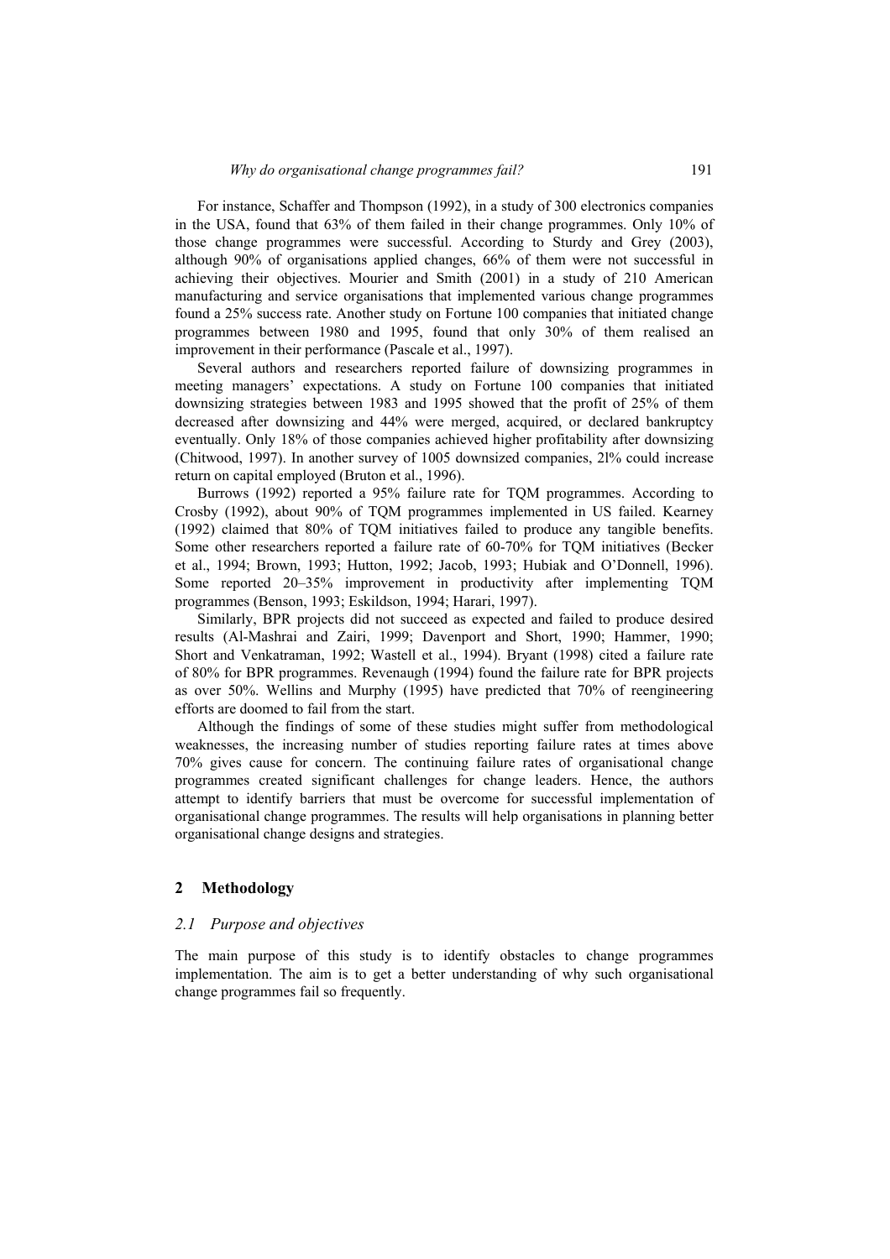For instance, Schaffer and Thompson (1992), in a study of 300 electronics companies in the USA, found that 63% of them failed in their change programmes. Only 10% of those change programmes were successful. According to Sturdy and Grey (2003), although 90% of organisations applied changes, 66% of them were not successful in achieving their objectives. Mourier and Smith (2001) in a study of 210 American manufacturing and service organisations that implemented various change programmes found a 25% success rate. Another study on Fortune 100 companies that initiated change programmes between 1980 and 1995, found that only 30% of them realised an improvement in their performance (Pascale et al., 1997).

Several authors and researchers reported failure of downsizing programmes in meeting managers' expectations. A study on Fortune 100 companies that initiated downsizing strategies between 1983 and 1995 showed that the profit of 25% of them decreased after downsizing and 44% were merged, acquired, or declared bankruptcy eventually. Only 18% of those companies achieved higher profitability after downsizing (Chitwood, 1997). In another survey of 1005 downsized companies, 2l% could increase return on capital employed (Bruton et al., 1996).

Burrows (1992) reported a 95% failure rate for TQM programmes. According to Crosby (1992), about 90% of TQM programmes implemented in US failed. Kearney (1992) claimed that 80% of TQM initiatives failed to produce any tangible benefits. Some other researchers reported a failure rate of 60-70% for TQM initiatives (Becker et al., 1994; Brown, 1993; Hutton, 1992; Jacob, 1993; Hubiak and O'Donnell, 1996). Some reported 20–35% improvement in productivity after implementing TQM programmes (Benson, 1993; Eskildson, 1994; Harari, 1997).

Similarly, BPR projects did not succeed as expected and failed to produce desired results (Al-Mashrai and Zairi, 1999; Davenport and Short, 1990; Hammer, 1990; Short and Venkatraman, 1992; Wastell et al., 1994). Bryant (1998) cited a failure rate of 80% for BPR programmes. Revenaugh (1994) found the failure rate for BPR projects as over 50%. Wellins and Murphy (1995) have predicted that 70% of reengineering efforts are doomed to fail from the start.

Although the findings of some of these studies might suffer from methodological weaknesses, the increasing number of studies reporting failure rates at times above 70% gives cause for concern. The continuing failure rates of organisational change programmes created significant challenges for change leaders. Hence, the authors attempt to identify barriers that must be overcome for successful implementation of organisational change programmes. The results will help organisations in planning better organisational change designs and strategies.

#### **2 Methodology**

### *2.1 Purpose and objectives*

The main purpose of this study is to identify obstacles to change programmes implementation. The aim is to get a better understanding of why such organisational change programmes fail so frequently.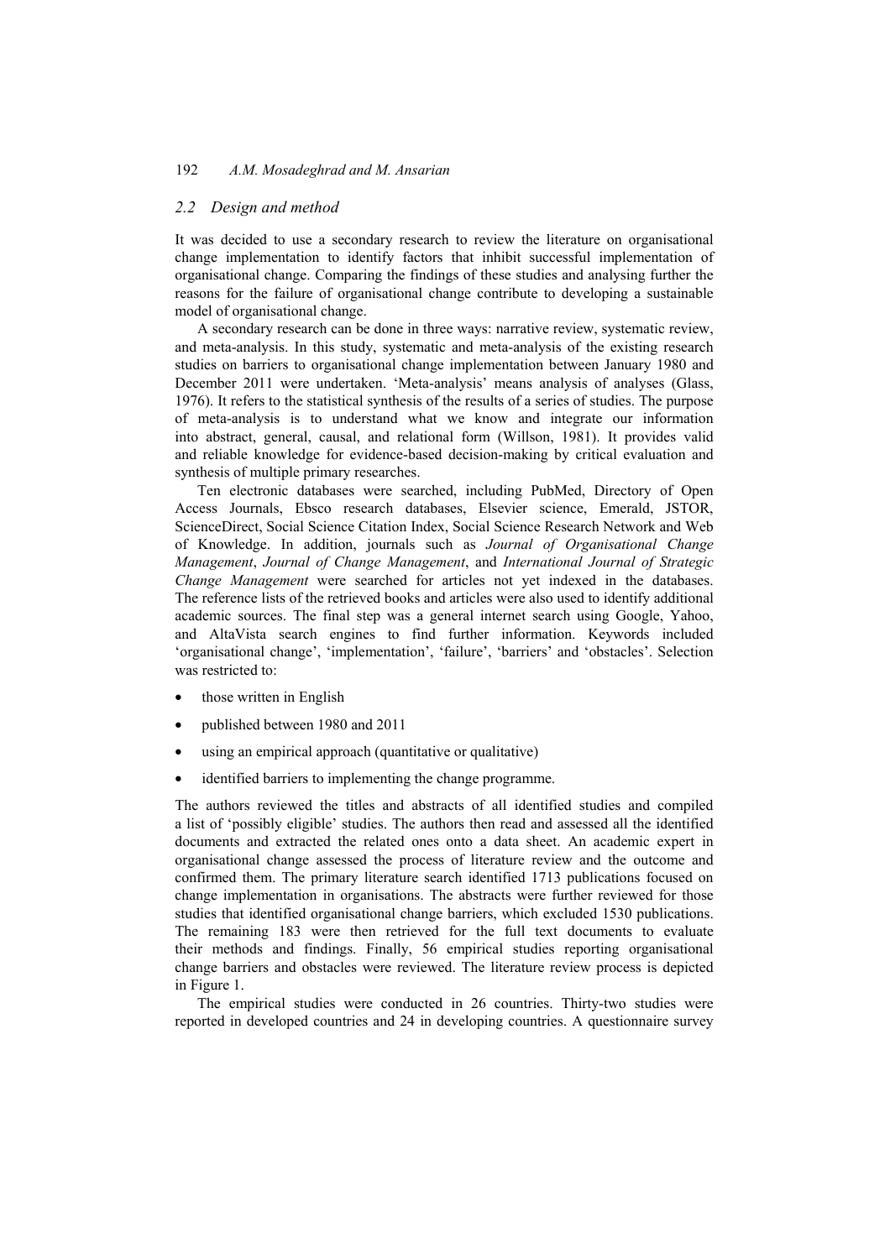#### *2.2 Design and method*

It was decided to use a secondary research to review the literature on organisational change implementation to identify factors that inhibit successful implementation of organisational change. Comparing the findings of these studies and analysing further the reasons for the failure of organisational change contribute to developing a sustainable model of organisational change.

A secondary research can be done in three ways: narrative review, systematic review, and meta-analysis. In this study, systematic and meta-analysis of the existing research studies on barriers to organisational change implementation between January 1980 and December 2011 were undertaken. 'Meta-analysis' means analysis of analyses (Glass, 1976). It refers to the statistical synthesis of the results of a series of studies. The purpose of meta-analysis is to understand what we know and integrate our information into abstract, general, causal, and relational form (Willson, 1981). It provides valid and reliable knowledge for evidence-based decision-making by critical evaluation and synthesis of multiple primary researches.

Ten electronic databases were searched, including PubMed, Directory of Open Access Journals, Ebsco research databases, Elsevier science, Emerald, JSTOR, ScienceDirect, Social Science Citation Index, Social Science Research Network and Web of Knowledge. In addition, journals such as *Journal of Organisational Change Management*, *Journal of Change Management*, and *International Journal of Strategic Change Management* were searched for articles not yet indexed in the databases. The reference lists of the retrieved books and articles were also used to identify additional academic sources. The final step was a general internet search using Google, Yahoo, and AltaVista search engines to find further information. Keywords included 'organisational change', 'implementation', 'failure', 'barriers' and 'obstacles'. Selection was restricted to:

- those written in English
- published between 1980 and 2011
- using an empirical approach (quantitative or qualitative)
- identified barriers to implementing the change programme.

The authors reviewed the titles and abstracts of all identified studies and compiled a list of 'possibly eligible' studies. The authors then read and assessed all the identified documents and extracted the related ones onto a data sheet. An academic expert in organisational change assessed the process of literature review and the outcome and confirmed them. The primary literature search identified 1713 publications focused on change implementation in organisations. The abstracts were further reviewed for those studies that identified organisational change barriers, which excluded 1530 publications. The remaining 183 were then retrieved for the full text documents to evaluate their methods and findings. Finally, 56 empirical studies reporting organisational change barriers and obstacles were reviewed. The literature review process is depicted in Figure 1.

The empirical studies were conducted in 26 countries. Thirty-two studies were reported in developed countries and 24 in developing countries. A questionnaire survey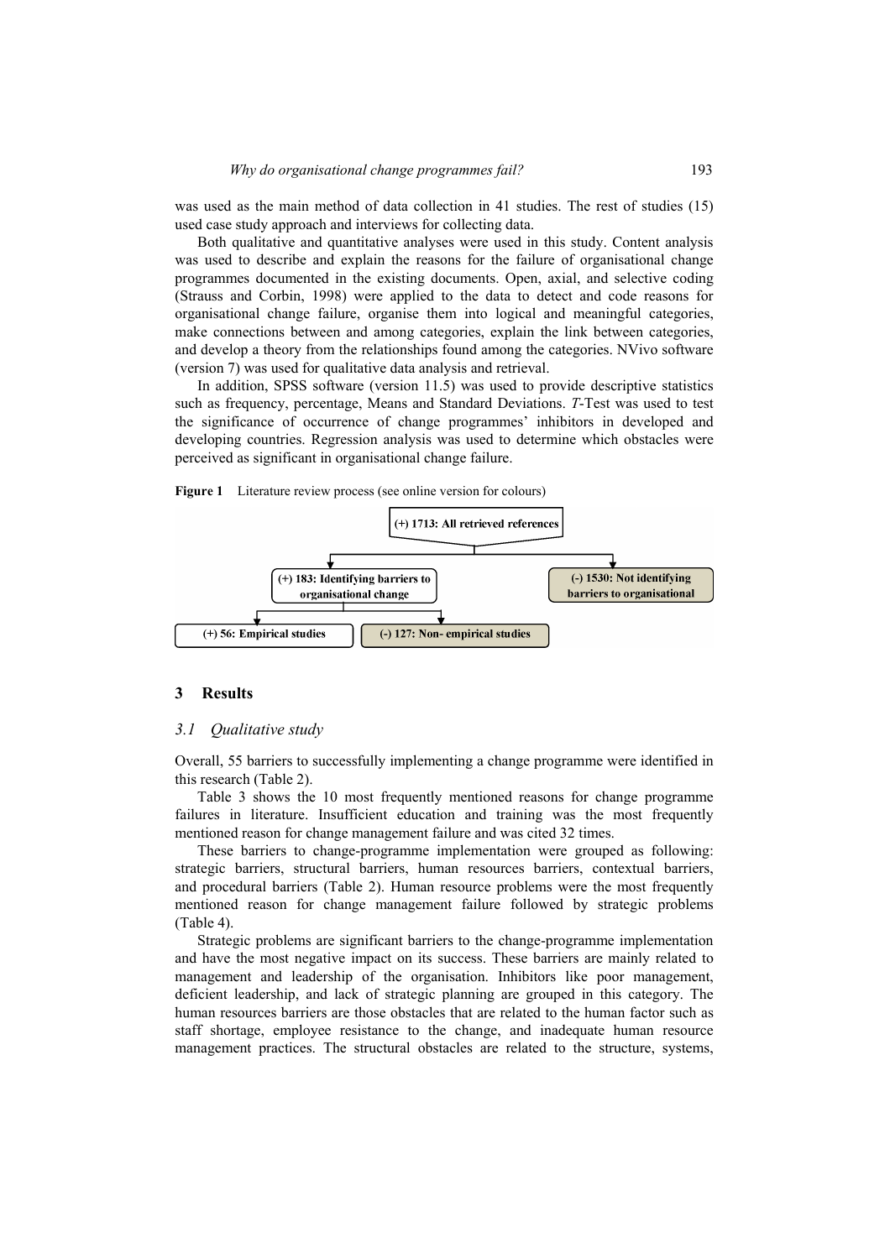was used as the main method of data collection in 41 studies. The rest of studies (15) used case study approach and interviews for collecting data.

Both qualitative and quantitative analyses were used in this study. Content analysis was used to describe and explain the reasons for the failure of organisational change programmes documented in the existing documents. Open, axial, and selective coding (Strauss and Corbin, 1998) were applied to the data to detect and code reasons for organisational change failure, organise them into logical and meaningful categories, make connections between and among categories, explain the link between categories, and develop a theory from the relationships found among the categories. NVivo software (version 7) was used for qualitative data analysis and retrieval.

In addition, SPSS software (version 11.5) was used to provide descriptive statistics such as frequency, percentage, Means and Standard Deviations. *T*-Test was used to test the significance of occurrence of change programmes' inhibitors in developed and developing countries. Regression analysis was used to determine which obstacles were perceived as significant in organisational change failure.

**Figure 1** Literature review process (see online version for colours)



#### **3 Results**

#### *3.1 Qualitative study*

Overall, 55 barriers to successfully implementing a change programme were identified in this research (Table 2).

Table 3 shows the 10 most frequently mentioned reasons for change programme failures in literature. Insufficient education and training was the most frequently mentioned reason for change management failure and was cited 32 times.

These barriers to change-programme implementation were grouped as following: strategic barriers, structural barriers, human resources barriers, contextual barriers, and procedural barriers (Table 2). Human resource problems were the most frequently mentioned reason for change management failure followed by strategic problems (Table 4).

Strategic problems are significant barriers to the change-programme implementation and have the most negative impact on its success. These barriers are mainly related to management and leadership of the organisation. Inhibitors like poor management, deficient leadership, and lack of strategic planning are grouped in this category. The human resources barriers are those obstacles that are related to the human factor such as staff shortage, employee resistance to the change, and inadequate human resource management practices. The structural obstacles are related to the structure, systems,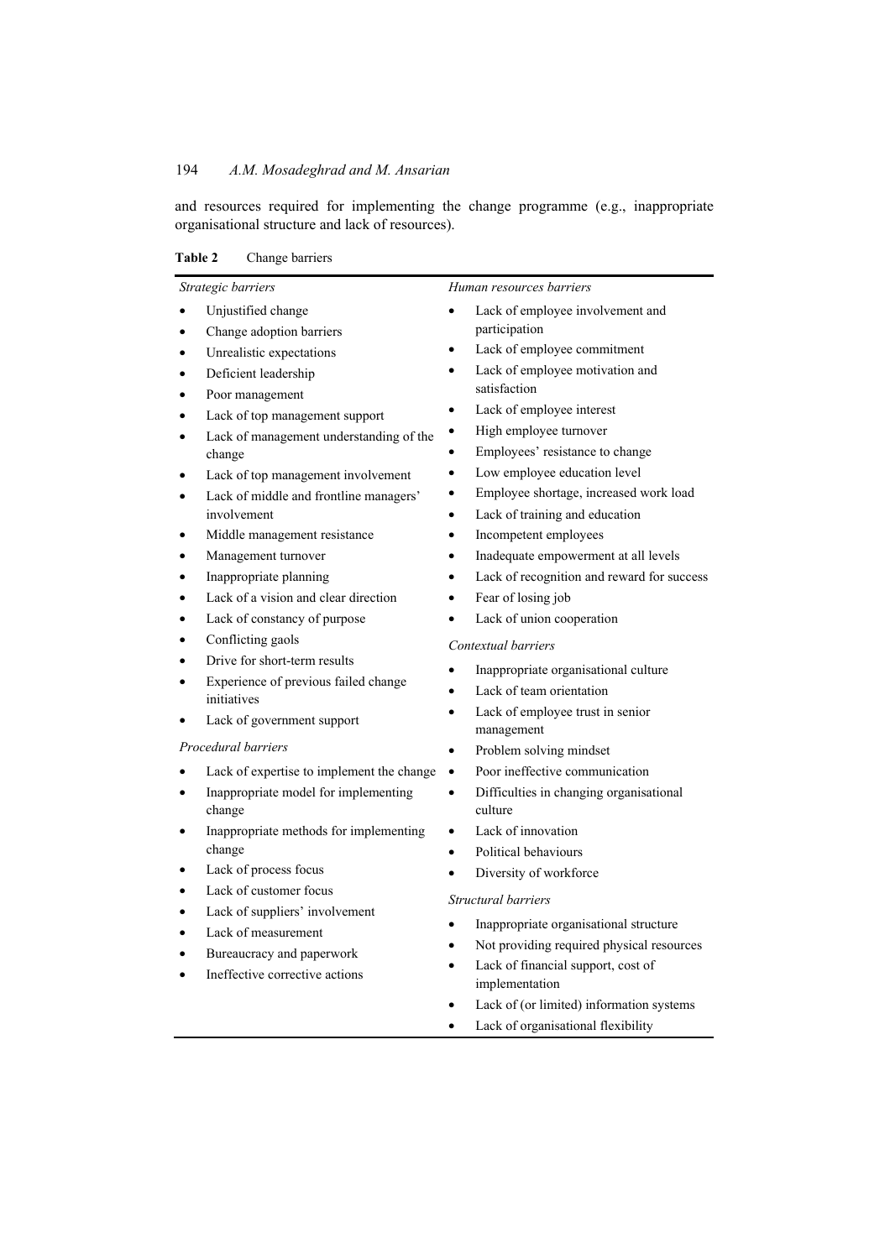and resources required for implementing the change programme (e.g., inappropriate organisational structure and lack of resources).

| Strategic barriers |                                                                 | Human resources barriers |                                                    |  |  |
|--------------------|-----------------------------------------------------------------|--------------------------|----------------------------------------------------|--|--|
|                    | Unjustified change                                              |                          | Lack of employee involvement and                   |  |  |
| $\bullet$          | Change adoption barriers                                        |                          | participation                                      |  |  |
| $\bullet$          | Unrealistic expectations                                        | $\bullet$                | Lack of employee commitment                        |  |  |
| $\bullet$          | Deficient leadership                                            | $\bullet$                | Lack of employee motivation and                    |  |  |
| ٠                  | Poor management                                                 |                          | satisfaction                                       |  |  |
| ٠                  | Lack of top management support                                  | $\bullet$                | Lack of employee interest                          |  |  |
| $\bullet$          | Lack of management understanding of the                         |                          | High employee turnover                             |  |  |
|                    | change                                                          | ٠                        | Employees' resistance to change                    |  |  |
| ٠                  | Lack of top management involvement                              | $\bullet$                | Low employee education level                       |  |  |
| $\bullet$          | Lack of middle and frontline managers'                          | $\bullet$                | Employee shortage, increased work load             |  |  |
|                    | involvement                                                     | $\bullet$                | Lack of training and education                     |  |  |
| $\bullet$          | Middle management resistance                                    | $\bullet$                | Incompetent employees                              |  |  |
| $\bullet$          | Management turnover                                             | $\bullet$                | Inadequate empowerment at all levels               |  |  |
| $\bullet$          | Inappropriate planning                                          | $\bullet$                | Lack of recognition and reward for success         |  |  |
| $\bullet$          | Lack of a vision and clear direction                            | $\bullet$                | Fear of losing job                                 |  |  |
| $\bullet$          | Lack of constancy of purpose                                    | $\bullet$                | Lack of union cooperation                          |  |  |
| ٠                  | Conflicting gaols                                               |                          | Contextual barriers                                |  |  |
|                    | Drive for short-term results                                    | $\bullet$                | Inappropriate organisational culture               |  |  |
|                    | Experience of previous failed change                            | $\bullet$                | Lack of team orientation                           |  |  |
|                    | initiatives                                                     | $\bullet$                | Lack of employee trust in senior                   |  |  |
|                    | Lack of government support                                      |                          | management                                         |  |  |
|                    | Procedural barriers                                             | $\bullet$                | Problem solving mindset                            |  |  |
|                    | Lack of expertise to implement the change                       | $\bullet$                | Poor ineffective communication                     |  |  |
| $\bullet$          | Inappropriate model for implementing<br>change                  | $\bullet$                | Difficulties in changing organisational<br>culture |  |  |
| $\bullet$          | Inappropriate methods for implementing                          | $\bullet$                | Lack of innovation                                 |  |  |
|                    | change                                                          | $\bullet$                | Political behaviours                               |  |  |
| ٠                  | Lack of process focus                                           | $\bullet$                | Diversity of workforce                             |  |  |
| $\bullet$          | Lack of customer focus                                          |                          | Structural barriers                                |  |  |
| $\bullet$          | Lack of suppliers' involvement                                  |                          |                                                    |  |  |
| $\bullet$          | Lack of measurement                                             | $\bullet$                | Inappropriate organisational structure             |  |  |
| $\bullet$          | Bureaucracy and paperwork                                       | $\bullet$                | Not providing required physical resources          |  |  |
|                    | $\mathbf{r}$ and $\mathbf{r}$ and $\mathbf{r}$ and $\mathbf{r}$ |                          | Lack of financial support, cost of                 |  |  |

implementation

• Lack of (or limited) information systems • Lack of organisational flexibility

Ineffective corrective actions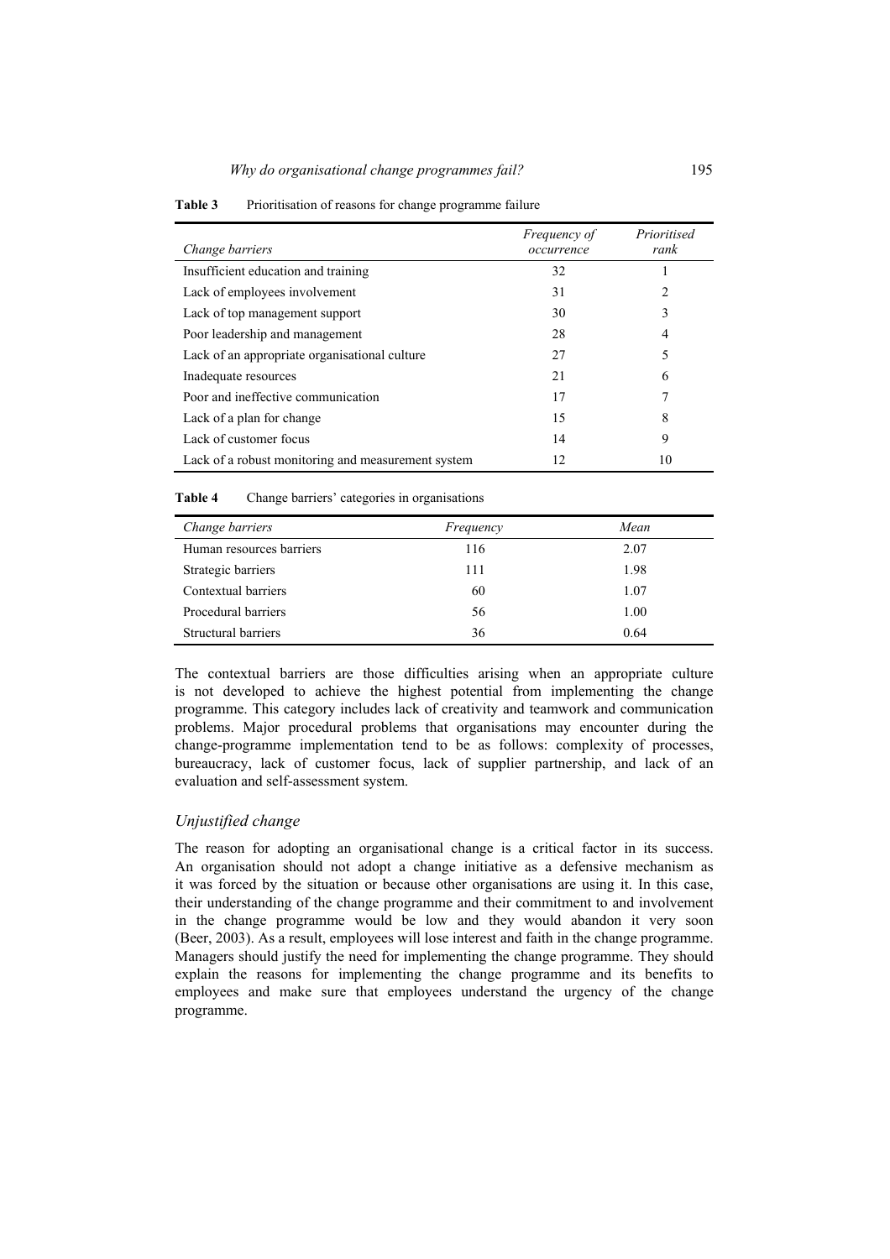| Change barriers                                    | Frequency of<br>occurrence | Prioritised<br>rank |
|----------------------------------------------------|----------------------------|---------------------|
| Insufficient education and training                | 32                         |                     |
| Lack of employees involvement                      | 31                         |                     |
| Lack of top management support                     | 30                         | 3                   |
| Poor leadership and management                     | 28                         | 4                   |
| Lack of an appropriate organisational culture      | 27                         | 5                   |
| Inadequate resources                               | 21                         | 6                   |
| Poor and ineffective communication                 | 17                         |                     |
| Lack of a plan for change                          | 15                         | 8                   |
| Lack of customer focus                             | 14                         | 9                   |
| Lack of a robust monitoring and measurement system | 12                         | 10                  |

Table 3 Prioritisation of reasons for change programme failure

**Table 4** Change barriers' categories in organisations

| Change barriers          | Frequency | Mean |
|--------------------------|-----------|------|
| Human resources barriers | 116       | 2.07 |
| Strategic barriers       | 111       | 1.98 |
| Contextual barriers      | 60        | 1.07 |
| Procedural barriers      | 56        | 1.00 |
| Structural barriers      | 36        | 0.64 |

The contextual barriers are those difficulties arising when an appropriate culture is not developed to achieve the highest potential from implementing the change programme. This category includes lack of creativity and teamwork and communication problems. Major procedural problems that organisations may encounter during the change-programme implementation tend to be as follows: complexity of processes, bureaucracy, lack of customer focus, lack of supplier partnership, and lack of an evaluation and self-assessment system.

#### *Unjustified change*

The reason for adopting an organisational change is a critical factor in its success. An organisation should not adopt a change initiative as a defensive mechanism as it was forced by the situation or because other organisations are using it. In this case, their understanding of the change programme and their commitment to and involvement in the change programme would be low and they would abandon it very soon (Beer, 2003). As a result, employees will lose interest and faith in the change programme. Managers should justify the need for implementing the change programme. They should explain the reasons for implementing the change programme and its benefits to employees and make sure that employees understand the urgency of the change programme.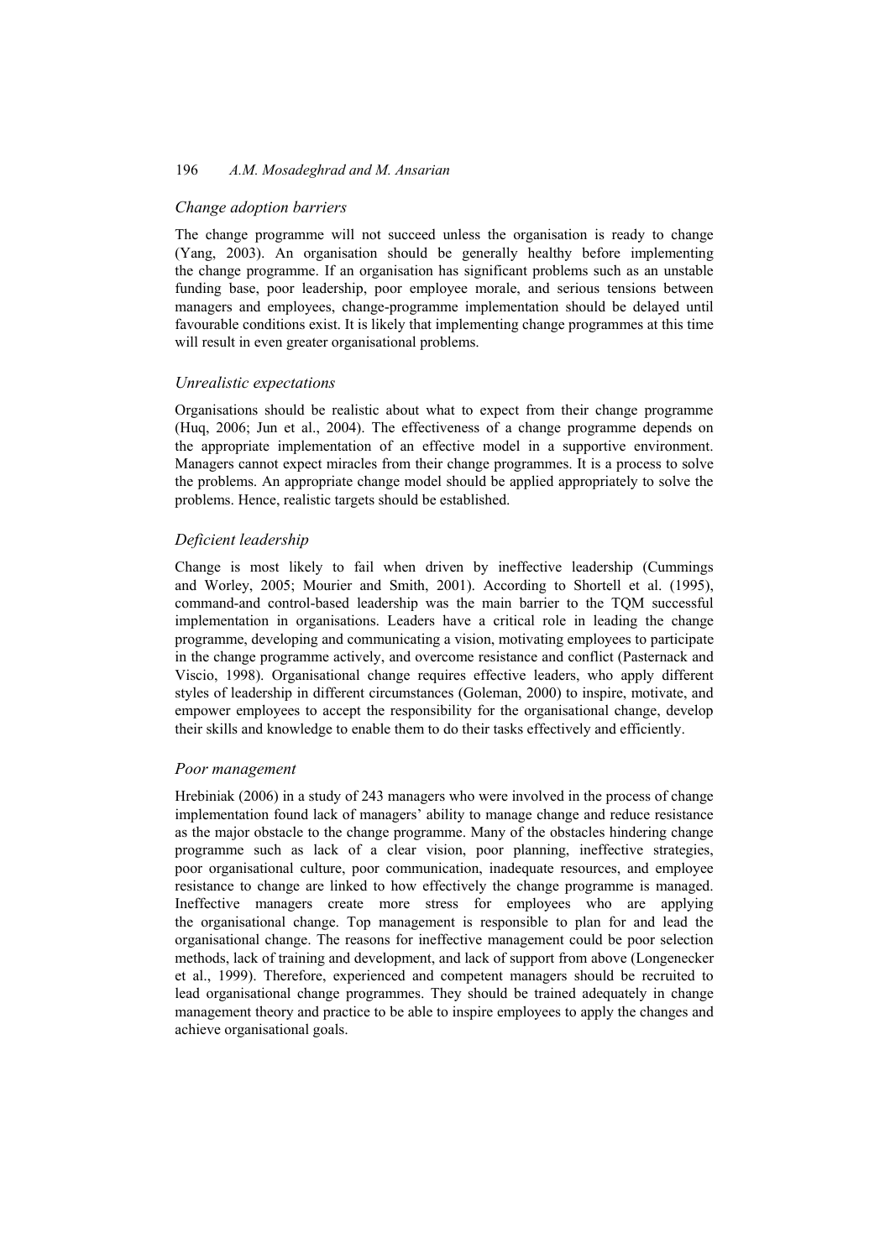#### *Change adoption barriers*

The change programme will not succeed unless the organisation is ready to change (Yang, 2003). An organisation should be generally healthy before implementing the change programme. If an organisation has significant problems such as an unstable funding base, poor leadership, poor employee morale, and serious tensions between managers and employees, change-programme implementation should be delayed until favourable conditions exist. It is likely that implementing change programmes at this time will result in even greater organisational problems.

#### *Unrealistic expectations*

Organisations should be realistic about what to expect from their change programme (Huq, 2006; Jun et al., 2004). The effectiveness of a change programme depends on the appropriate implementation of an effective model in a supportive environment. Managers cannot expect miracles from their change programmes. It is a process to solve the problems. An appropriate change model should be applied appropriately to solve the problems. Hence, realistic targets should be established.

#### *Deficient leadership*

Change is most likely to fail when driven by ineffective leadership (Cummings and Worley, 2005; Mourier and Smith, 2001). According to Shortell et al. (1995), command-and control-based leadership was the main barrier to the TQM successful implementation in organisations. Leaders have a critical role in leading the change programme, developing and communicating a vision, motivating employees to participate in the change programme actively, and overcome resistance and conflict (Pasternack and Viscio, 1998). Organisational change requires effective leaders, who apply different styles of leadership in different circumstances (Goleman, 2000) to inspire, motivate, and empower employees to accept the responsibility for the organisational change, develop their skills and knowledge to enable them to do their tasks effectively and efficiently.

#### *Poor management*

Hrebiniak (2006) in a study of 243 managers who were involved in the process of change implementation found lack of managers' ability to manage change and reduce resistance as the major obstacle to the change programme. Many of the obstacles hindering change programme such as lack of a clear vision, poor planning, ineffective strategies, poor organisational culture, poor communication, inadequate resources, and employee resistance to change are linked to how effectively the change programme is managed. Ineffective managers create more stress for employees who are applying the organisational change. Top management is responsible to plan for and lead the organisational change. The reasons for ineffective management could be poor selection methods, lack of training and development, and lack of support from above (Longenecker et al., 1999). Therefore, experienced and competent managers should be recruited to lead organisational change programmes. They should be trained adequately in change management theory and practice to be able to inspire employees to apply the changes and achieve organisational goals.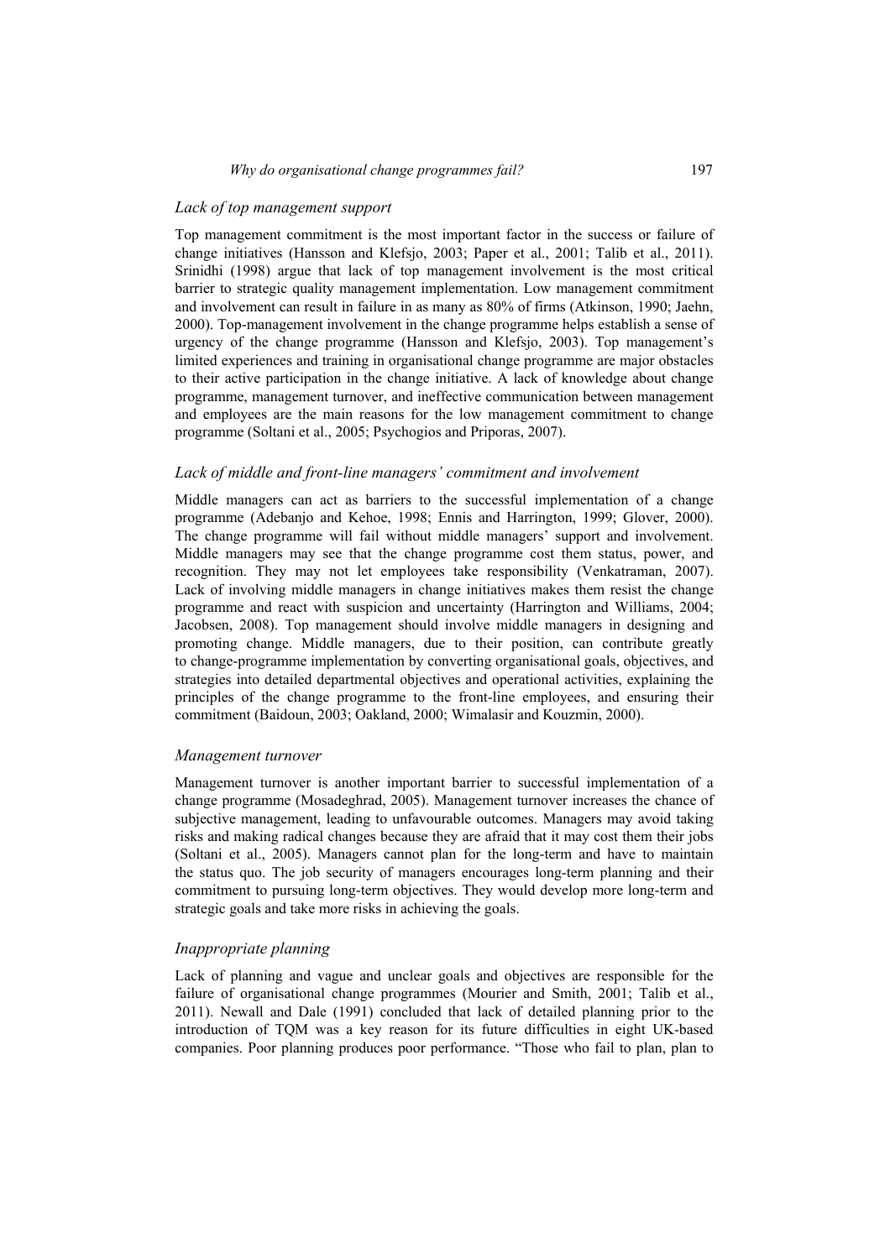### *Lack of top management support*

Top management commitment is the most important factor in the success or failure of change initiatives (Hansson and Klefsjo, 2003; Paper et al., 2001; Talib et al., 2011). Srinidhi (1998) argue that lack of top management involvement is the most critical barrier to strategic quality management implementation. Low management commitment and involvement can result in failure in as many as 80% of firms (Atkinson, 1990; Jaehn, 2000). Top-management involvement in the change programme helps establish a sense of urgency of the change programme (Hansson and Klefsjo, 2003). Top management's limited experiences and training in organisational change programme are major obstacles to their active participation in the change initiative. A lack of knowledge about change programme, management turnover, and ineffective communication between management and employees are the main reasons for the low management commitment to change programme (Soltani et al., 2005; Psychogios and Priporas, 2007).

#### Lack of middle and front-line managers' commitment and involvement

Middle managers can act as barriers to the successful implementation of a change programme (Adebanjo and Kehoe, 1998; Ennis and Harrington, 1999; Glover, 2000). The change programme will fail without middle managers' support and involvement. Middle managers may see that the change programme cost them status, power, and recognition. They may not let employees take responsibility (Venkatraman, 2007). Lack of involving middle managers in change initiatives makes them resist the change programme and react with suspicion and uncertainty (Harrington and Williams, 2004; Jacobsen, 2008). Top management should involve middle managers in designing and promoting change. Middle managers, due to their position, can contribute greatly to change-programme implementation by converting organisational goals, objectives, and strategies into detailed departmental objectives and operational activities, explaining the principles of the change programme to the front-line employees, and ensuring their commitment (Baidoun, 2003; Oakland, 2000; Wimalasir and Kouzmin, 2000).

#### *Management turnover*

Management turnover is another important barrier to successful implementation of a change programme (Mosadeghrad, 2005). Management turnover increases the chance of subjective management, leading to unfavourable outcomes. Managers may avoid taking risks and making radical changes because they are afraid that it may cost them their jobs (Soltani et al., 2005). Managers cannot plan for the long-term and have to maintain the status quo. The job security of managers encourages long-term planning and their commitment to pursuing long-term objectives. They would develop more long-term and strategic goals and take more risks in achieving the goals.

# *Inappropriate planning*

Lack of planning and vague and unclear goals and objectives are responsible for the failure of organisational change programmes (Mourier and Smith, 2001; Talib et al., 2011). Newall and Dale (1991) concluded that lack of detailed planning prior to the introduction of TQM was a key reason for its future difficulties in eight UK-based companies. Poor planning produces poor performance. "Those who fail to plan, plan to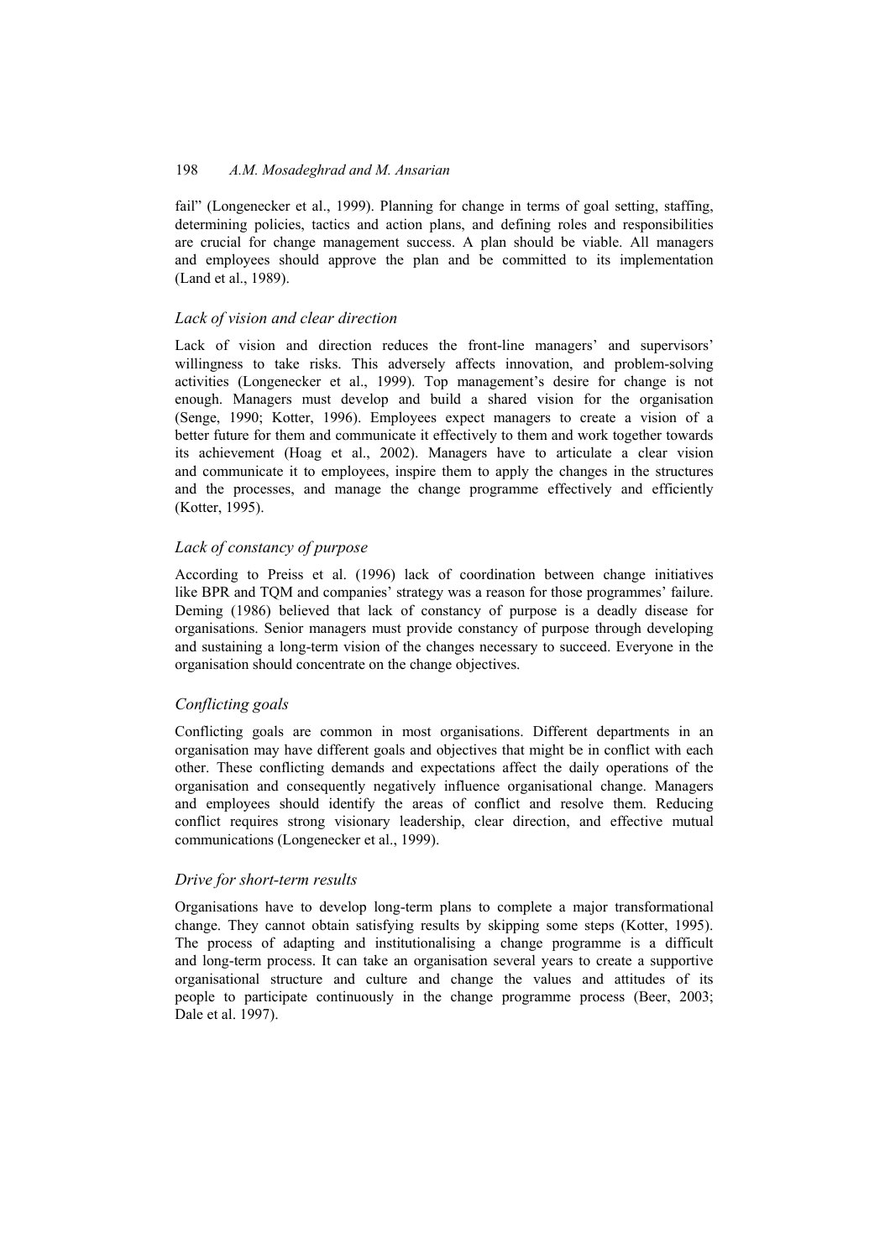fail" (Longenecker et al., 1999). Planning for change in terms of goal setting, staffing, determining policies, tactics and action plans, and defining roles and responsibilities are crucial for change management success. A plan should be viable. All managers and employees should approve the plan and be committed to its implementation (Land et al., 1989).

#### *Lack of vision and clear direction*

Lack of vision and direction reduces the front-line managers' and supervisors' willingness to take risks. This adversely affects innovation, and problem-solving activities (Longenecker et al., 1999). Top management's desire for change is not enough. Managers must develop and build a shared vision for the organisation (Senge, 1990; Kotter, 1996). Employees expect managers to create a vision of a better future for them and communicate it effectively to them and work together towards its achievement (Hoag et al., 2002). Managers have to articulate a clear vision and communicate it to employees, inspire them to apply the changes in the structures and the processes, and manage the change programme effectively and efficiently (Kotter, 1995).

# *Lack of constancy of purpose*

According to Preiss et al. (1996) lack of coordination between change initiatives like BPR and TQM and companies' strategy was a reason for those programmes' failure. Deming (1986) believed that lack of constancy of purpose is a deadly disease for organisations. Senior managers must provide constancy of purpose through developing and sustaining a long-term vision of the changes necessary to succeed. Everyone in the organisation should concentrate on the change objectives.

# *Conflicting goals*

Conflicting goals are common in most organisations. Different departments in an organisation may have different goals and objectives that might be in conflict with each other. These conflicting demands and expectations affect the daily operations of the organisation and consequently negatively influence organisational change. Managers and employees should identify the areas of conflict and resolve them. Reducing conflict requires strong visionary leadership, clear direction, and effective mutual communications (Longenecker et al., 1999).

# *Drive for short-term results*

Organisations have to develop long-term plans to complete a major transformational change. They cannot obtain satisfying results by skipping some steps (Kotter, 1995). The process of adapting and institutionalising a change programme is a difficult and long-term process. It can take an organisation several years to create a supportive organisational structure and culture and change the values and attitudes of its people to participate continuously in the change programme process (Beer, 2003; Dale et al. 1997).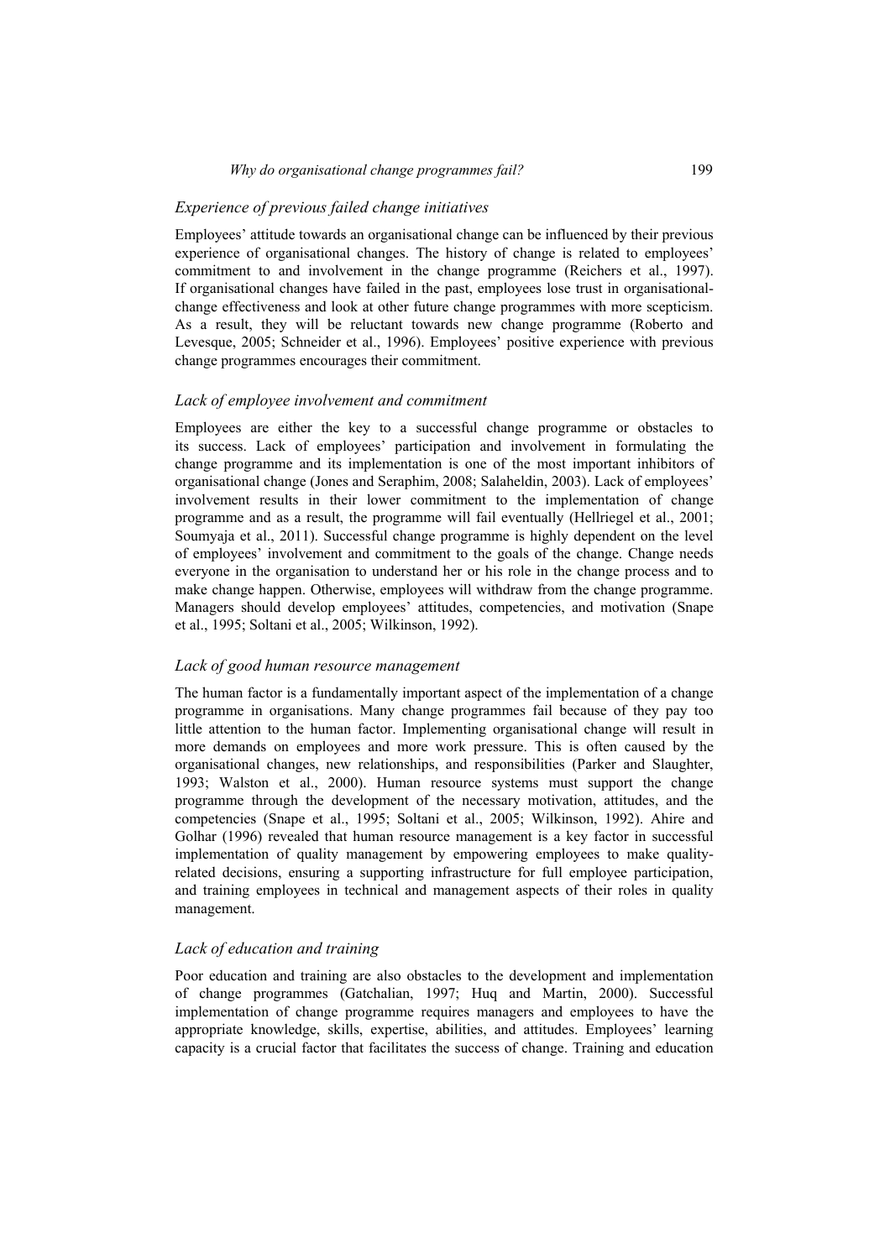#### *Experience of previous failed change initiatives*

Employees' attitude towards an organisational change can be influenced by their previous experience of organisational changes. The history of change is related to employees' commitment to and involvement in the change programme (Reichers et al., 1997). If organisational changes have failed in the past, employees lose trust in organisationalchange effectiveness and look at other future change programmes with more scepticism. As a result, they will be reluctant towards new change programme (Roberto and Levesque, 2005; Schneider et al., 1996). Employees' positive experience with previous change programmes encourages their commitment.

#### *Lack of employee involvement and commitment*

Employees are either the key to a successful change programme or obstacles to its success. Lack of employees' participation and involvement in formulating the change programme and its implementation is one of the most important inhibitors of organisational change (Jones and Seraphim, 2008; Salaheldin, 2003). Lack of employees' involvement results in their lower commitment to the implementation of change programme and as a result, the programme will fail eventually (Hellriegel et al., 2001; Soumyaja et al., 2011). Successful change programme is highly dependent on the level of employees' involvement and commitment to the goals of the change. Change needs everyone in the organisation to understand her or his role in the change process and to make change happen. Otherwise, employees will withdraw from the change programme. Managers should develop employees' attitudes, competencies, and motivation (Snape et al., 1995; Soltani et al., 2005; Wilkinson, 1992).

### *Lack of good human resource management*

The human factor is a fundamentally important aspect of the implementation of a change programme in organisations. Many change programmes fail because of they pay too little attention to the human factor. Implementing organisational change will result in more demands on employees and more work pressure. This is often caused by the organisational changes, new relationships, and responsibilities (Parker and Slaughter, 1993; Walston et al., 2000). Human resource systems must support the change programme through the development of the necessary motivation, attitudes, and the competencies (Snape et al., 1995; Soltani et al., 2005; Wilkinson, 1992). Ahire and Golhar (1996) revealed that human resource management is a key factor in successful implementation of quality management by empowering employees to make qualityrelated decisions, ensuring a supporting infrastructure for full employee participation, and training employees in technical and management aspects of their roles in quality management.

#### *Lack of education and training*

Poor education and training are also obstacles to the development and implementation of change programmes (Gatchalian, 1997; Huq and Martin, 2000). Successful implementation of change programme requires managers and employees to have the appropriate knowledge, skills, expertise, abilities, and attitudes. Employees' learning capacity is a crucial factor that facilitates the success of change. Training and education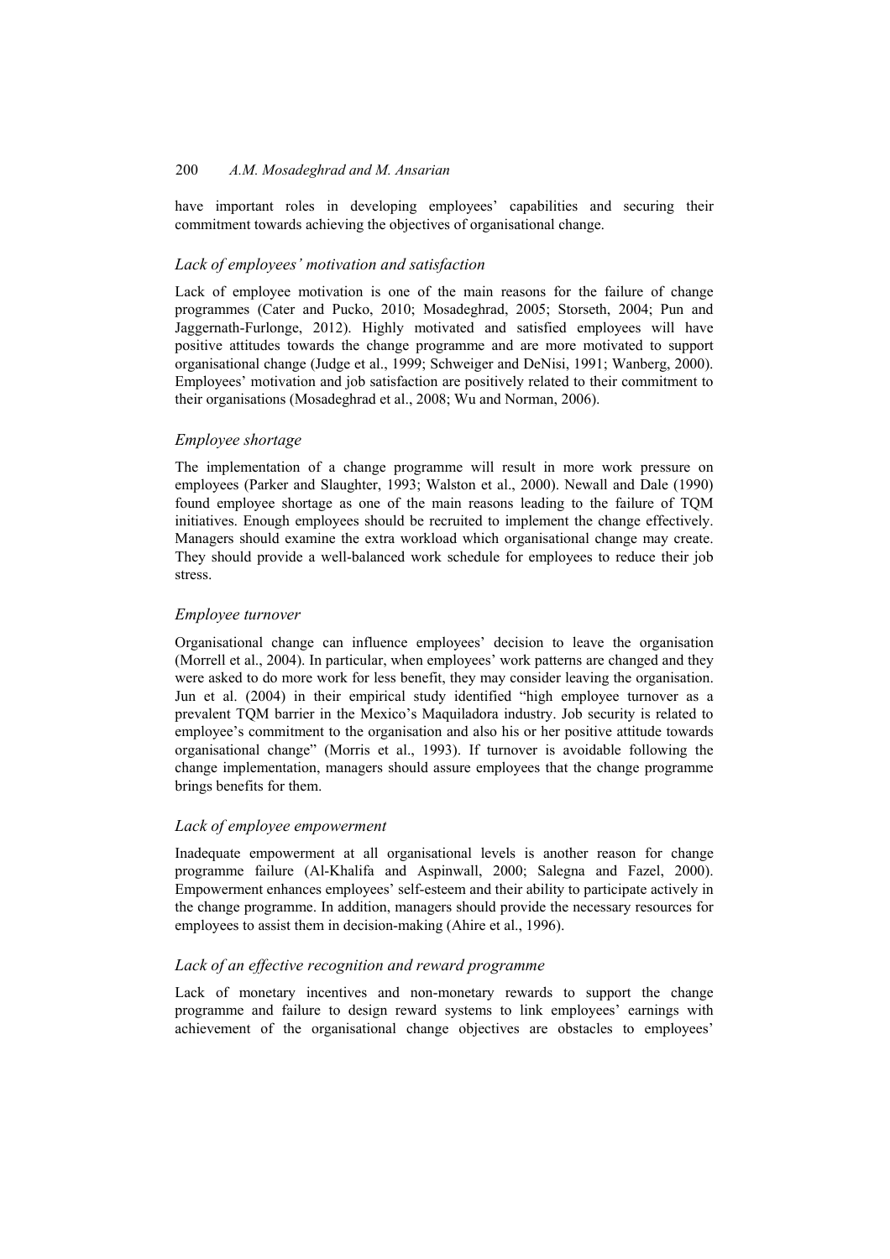have important roles in developing employees' capabilities and securing their commitment towards achieving the objectives of organisational change.

#### *Lack of employees' motivation and satisfaction*

Lack of employee motivation is one of the main reasons for the failure of change programmes (Cater and Pucko, 2010; Mosadeghrad, 2005; Storseth, 2004; Pun and Jaggernath-Furlonge, 2012). Highly motivated and satisfied employees will have positive attitudes towards the change programme and are more motivated to support organisational change (Judge et al., 1999; Schweiger and DeNisi, 1991; Wanberg, 2000). Employees' motivation and job satisfaction are positively related to their commitment to their organisations (Mosadeghrad et al., 2008; Wu and Norman, 2006).

#### *Employee shortage*

The implementation of a change programme will result in more work pressure on employees (Parker and Slaughter, 1993; Walston et al., 2000). Newall and Dale (1990) found employee shortage as one of the main reasons leading to the failure of TQM initiatives. Enough employees should be recruited to implement the change effectively. Managers should examine the extra workload which organisational change may create. They should provide a well-balanced work schedule for employees to reduce their job stress.

#### *Employee turnover*

Organisational change can influence employees' decision to leave the organisation (Morrell et al., 2004). In particular, when employees' work patterns are changed and they were asked to do more work for less benefit, they may consider leaving the organisation. Jun et al. (2004) in their empirical study identified "high employee turnover as a prevalent TQM barrier in the Mexico's Maquiladora industry. Job security is related to employee's commitment to the organisation and also his or her positive attitude towards organisational change" (Morris et al., 1993). If turnover is avoidable following the change implementation, managers should assure employees that the change programme brings benefits for them.

# *Lack of employee empowerment*

Inadequate empowerment at all organisational levels is another reason for change programme failure (Al-Khalifa and Aspinwall, 2000; Salegna and Fazel, 2000). Empowerment enhances employees' self-esteem and their ability to participate actively in the change programme. In addition, managers should provide the necessary resources for employees to assist them in decision-making (Ahire et al., 1996).

#### *Lack of an effective recognition and reward programme*

Lack of monetary incentives and non-monetary rewards to support the change programme and failure to design reward systems to link employees' earnings with achievement of the organisational change objectives are obstacles to employees'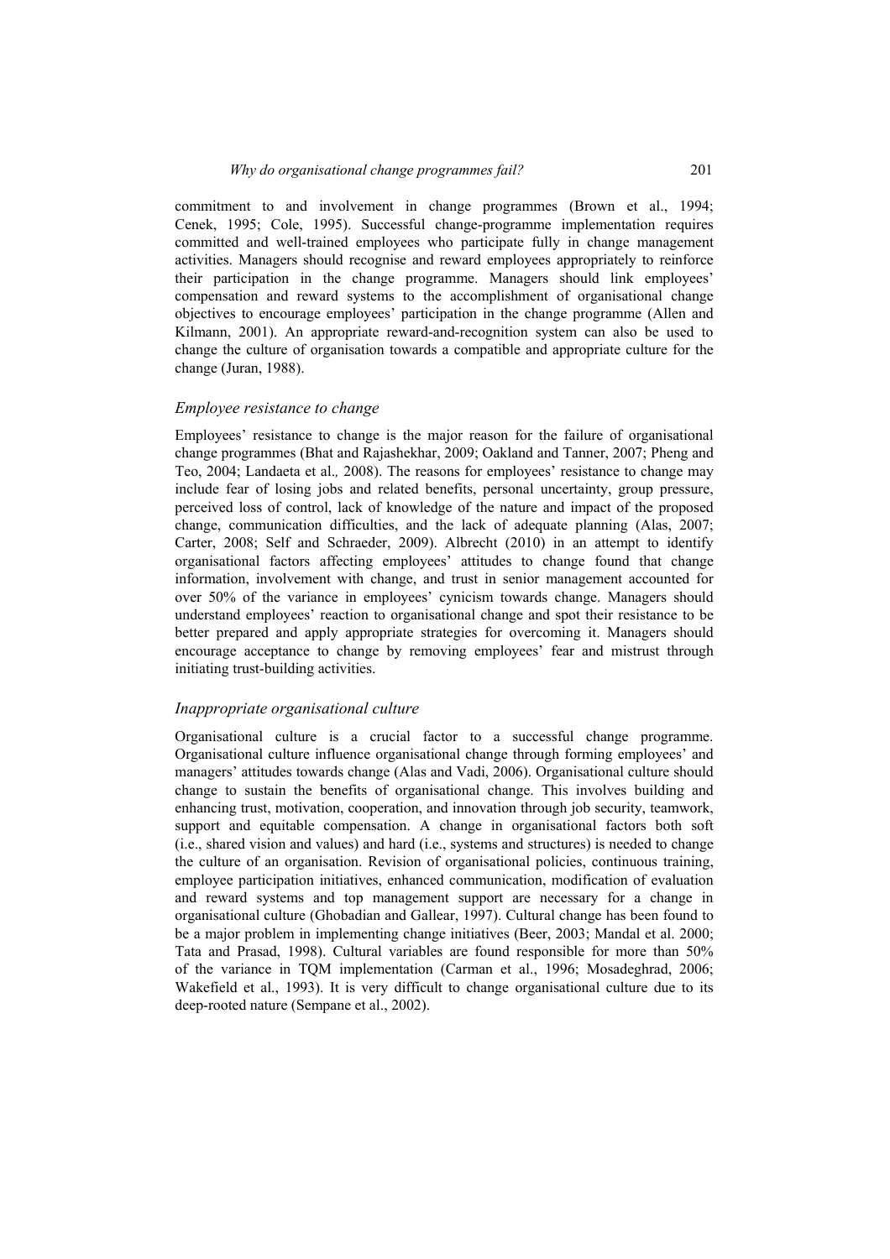commitment to and involvement in change programmes (Brown et al., 1994; Cenek, 1995; Cole, 1995). Successful change-programme implementation requires committed and well-trained employees who participate fully in change management activities. Managers should recognise and reward employees appropriately to reinforce their participation in the change programme. Managers should link employees' compensation and reward systems to the accomplishment of organisational change objectives to encourage employees' participation in the change programme (Allen and Kilmann, 2001). An appropriate reward-and-recognition system can also be used to change the culture of organisation towards a compatible and appropriate culture for the change (Juran, 1988).

#### *Employee resistance to change*

Employees' resistance to change is the major reason for the failure of organisational change programmes (Bhat and Rajashekhar, 2009; Oakland and Tanner, 2007; Pheng and Teo, 2004; Landaeta et al.*,* 2008). The reasons for employees' resistance to change may include fear of losing jobs and related benefits, personal uncertainty, group pressure, perceived loss of control, lack of knowledge of the nature and impact of the proposed change, communication difficulties, and the lack of adequate planning (Alas, 2007; Carter, 2008; Self and Schraeder, 2009). Albrecht (2010) in an attempt to identify organisational factors affecting employees' attitudes to change found that change information, involvement with change, and trust in senior management accounted for over 50% of the variance in employees' cynicism towards change. Managers should understand employees' reaction to organisational change and spot their resistance to be better prepared and apply appropriate strategies for overcoming it. Managers should encourage acceptance to change by removing employees' fear and mistrust through initiating trust-building activities.

#### *Inappropriate organisational culture*

Organisational culture is a crucial factor to a successful change programme. Organisational culture influence organisational change through forming employees' and managers' attitudes towards change (Alas and Vadi, 2006). Organisational culture should change to sustain the benefits of organisational change. This involves building and enhancing trust, motivation, cooperation, and innovation through job security, teamwork, support and equitable compensation. A change in organisational factors both soft (i.e., shared vision and values) and hard (i.e., systems and structures) is needed to change the culture of an organisation. Revision of organisational policies, continuous training, employee participation initiatives, enhanced communication, modification of evaluation and reward systems and top management support are necessary for a change in organisational culture (Ghobadian and Gallear, 1997). Cultural change has been found to be a major problem in implementing change initiatives (Beer, 2003; Mandal et al. 2000; Tata and Prasad, 1998). Cultural variables are found responsible for more than 50% of the variance in TQM implementation (Carman et al., 1996; Mosadeghrad, 2006; Wakefield et al., 1993). It is very difficult to change organisational culture due to its deep-rooted nature (Sempane et al., 2002).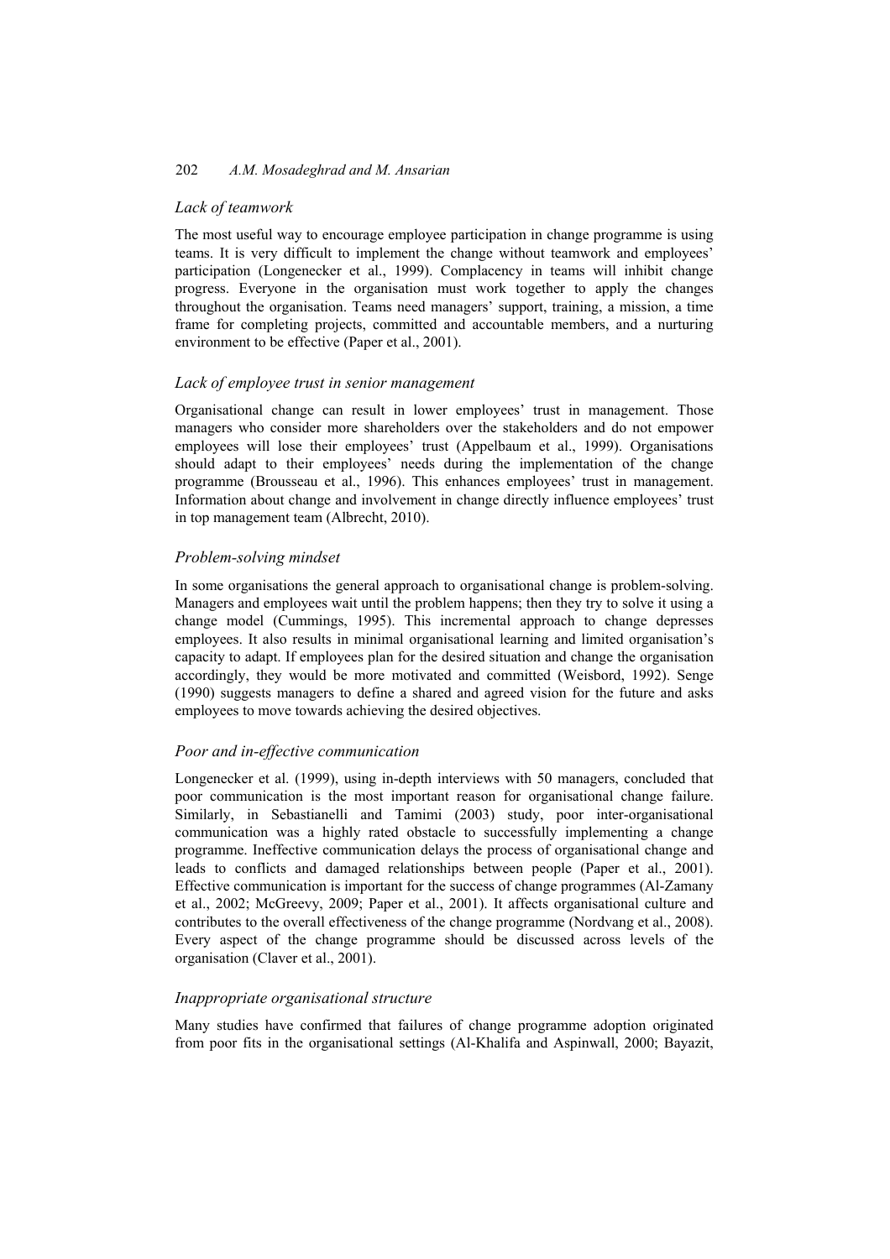#### *Lack of teamwork*

The most useful way to encourage employee participation in change programme is using teams. It is very difficult to implement the change without teamwork and employees' participation (Longenecker et al., 1999). Complacency in teams will inhibit change progress. Everyone in the organisation must work together to apply the changes throughout the organisation. Teams need managers' support, training, a mission, a time frame for completing projects, committed and accountable members, and a nurturing environment to be effective (Paper et al., 2001).

#### *Lack of employee trust in senior management*

Organisational change can result in lower employees' trust in management. Those managers who consider more shareholders over the stakeholders and do not empower employees will lose their employees' trust (Appelbaum et al., 1999). Organisations should adapt to their employees' needs during the implementation of the change programme (Brousseau et al., 1996). This enhances employees' trust in management. Information about change and involvement in change directly influence employees' trust in top management team (Albrecht, 2010).

#### *Problem-solving mindset*

In some organisations the general approach to organisational change is problem-solving. Managers and employees wait until the problem happens; then they try to solve it using a change model (Cummings, 1995). This incremental approach to change depresses employees. It also results in minimal organisational learning and limited organisation's capacity to adapt. If employees plan for the desired situation and change the organisation accordingly, they would be more motivated and committed (Weisbord, 1992). Senge (1990) suggests managers to define a shared and agreed vision for the future and asks employees to move towards achieving the desired objectives.

#### *Poor and in-effective communication*

Longenecker et al. (1999), using in-depth interviews with 50 managers, concluded that poor communication is the most important reason for organisational change failure. Similarly, in Sebastianelli and Tamimi (2003) study, poor inter-organisational communication was a highly rated obstacle to successfully implementing a change programme. Ineffective communication delays the process of organisational change and leads to conflicts and damaged relationships between people (Paper et al., 2001). Effective communication is important for the success of change programmes (Al-Zamany et al., 2002; McGreevy, 2009; Paper et al., 2001). It affects organisational culture and contributes to the overall effectiveness of the change programme (Nordvang et al., 2008). Every aspect of the change programme should be discussed across levels of the organisation (Claver et al., 2001).

#### *Inappropriate organisational structure*

Many studies have confirmed that failures of change programme adoption originated from poor fits in the organisational settings (Al-Khalifa and Aspinwall, 2000; Bayazit,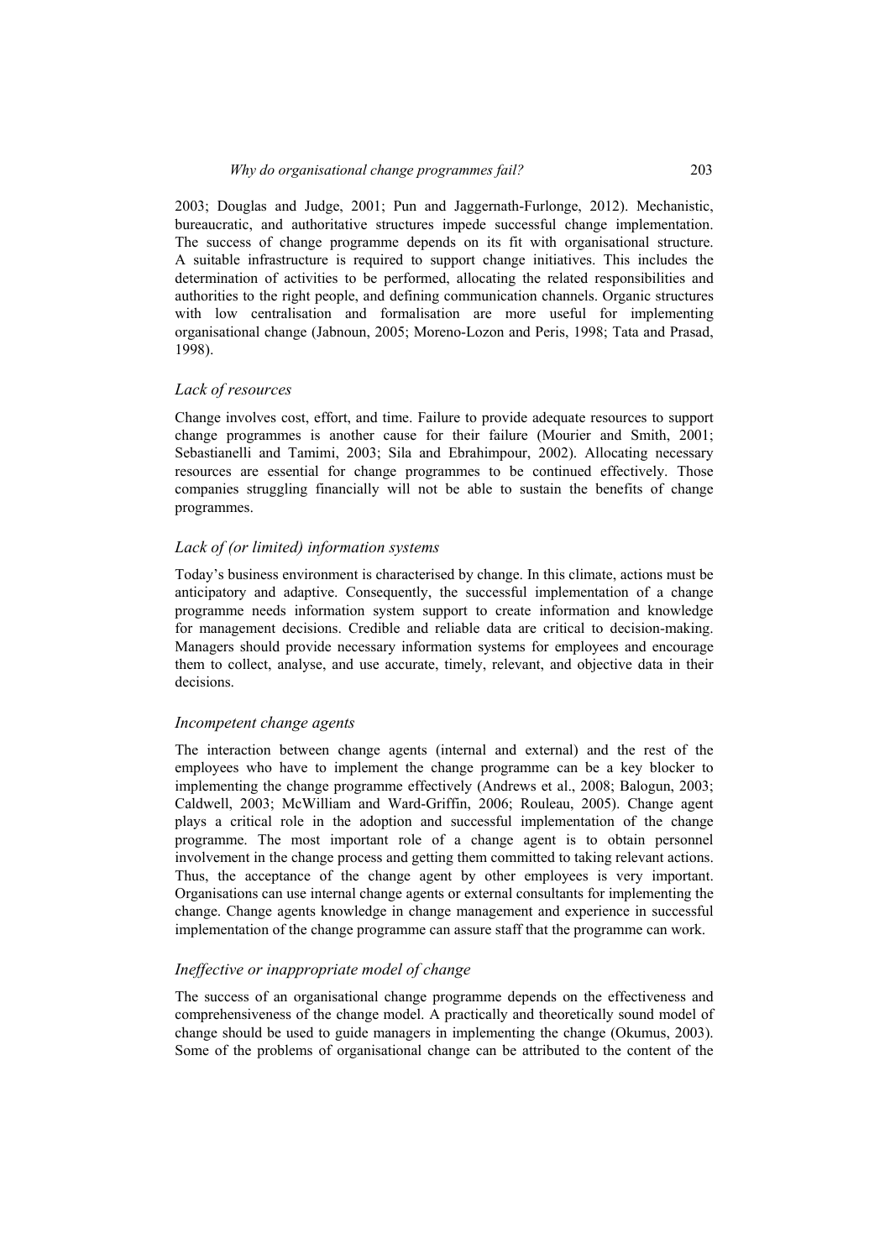2003; Douglas and Judge, 2001; Pun and Jaggernath-Furlonge, 2012). Mechanistic, bureaucratic, and authoritative structures impede successful change implementation. The success of change programme depends on its fit with organisational structure. A suitable infrastructure is required to support change initiatives. This includes the determination of activities to be performed, allocating the related responsibilities and authorities to the right people, and defining communication channels. Organic structures with low centralisation and formalisation are more useful for implementing organisational change (Jabnoun, 2005; Moreno-Lozon and Peris, 1998; Tata and Prasad, 1998).

#### *Lack of resources*

Change involves cost, effort, and time. Failure to provide adequate resources to support change programmes is another cause for their failure (Mourier and Smith, 2001; Sebastianelli and Tamimi, 2003; Sila and Ebrahimpour, 2002). Allocating necessary resources are essential for change programmes to be continued effectively. Those companies struggling financially will not be able to sustain the benefits of change programmes.

# *Lack of (or limited) information systems*

Today's business environment is characterised by change. In this climate, actions must be anticipatory and adaptive. Consequently, the successful implementation of a change programme needs information system support to create information and knowledge for management decisions. Credible and reliable data are critical to decision-making. Managers should provide necessary information systems for employees and encourage them to collect, analyse, and use accurate, timely, relevant, and objective data in their decisions.

#### *Incompetent change agents*

The interaction between change agents (internal and external) and the rest of the employees who have to implement the change programme can be a key blocker to implementing the change programme effectively (Andrews et al., 2008; Balogun, 2003; Caldwell, 2003; McWilliam and Ward-Griffin, 2006; Rouleau, 2005). Change agent plays a critical role in the adoption and successful implementation of the change programme. The most important role of a change agent is to obtain personnel involvement in the change process and getting them committed to taking relevant actions. Thus, the acceptance of the change agent by other employees is very important. Organisations can use internal change agents or external consultants for implementing the change. Change agents knowledge in change management and experience in successful implementation of the change programme can assure staff that the programme can work.

#### *Ineffective or inappropriate model of change*

The success of an organisational change programme depends on the effectiveness and comprehensiveness of the change model. A practically and theoretically sound model of change should be used to guide managers in implementing the change (Okumus, 2003). Some of the problems of organisational change can be attributed to the content of the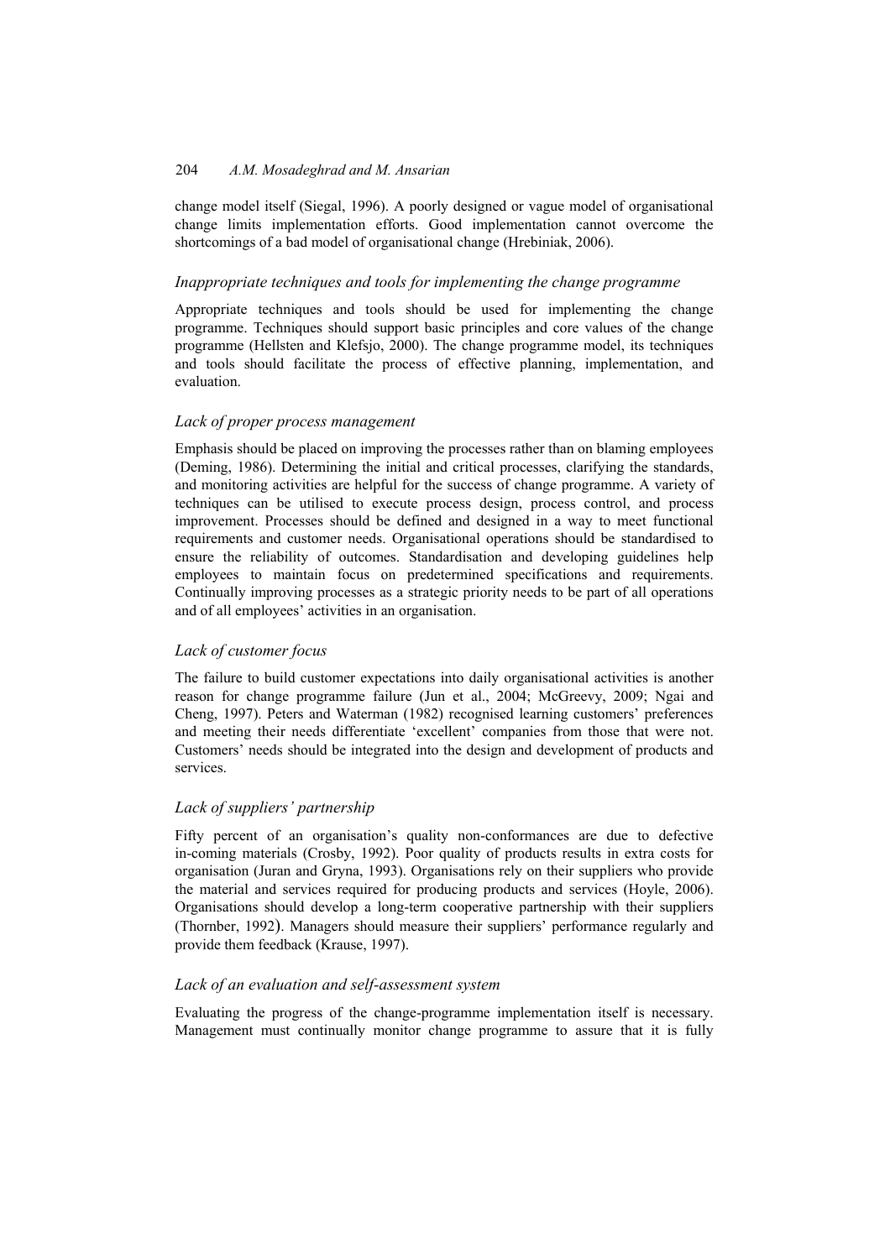change model itself (Siegal, 1996). A poorly designed or vague model of organisational change limits implementation efforts. Good implementation cannot overcome the shortcomings of a bad model of organisational change (Hrebiniak, 2006).

# *Inappropriate techniques and tools for implementing the change programme*

Appropriate techniques and tools should be used for implementing the change programme. Techniques should support basic principles and core values of the change programme (Hellsten and Klefsjo, 2000). The change programme model, its techniques and tools should facilitate the process of effective planning, implementation, and evaluation.

# *Lack of proper process management*

Emphasis should be placed on improving the processes rather than on blaming employees (Deming, 1986). Determining the initial and critical processes, clarifying the standards, and monitoring activities are helpful for the success of change programme. A variety of techniques can be utilised to execute process design, process control, and process improvement. Processes should be defined and designed in a way to meet functional requirements and customer needs. Organisational operations should be standardised to ensure the reliability of outcomes. Standardisation and developing guidelines help employees to maintain focus on predetermined specifications and requirements. Continually improving processes as a strategic priority needs to be part of all operations and of all employees' activities in an organisation.

# *Lack of customer focus*

The failure to build customer expectations into daily organisational activities is another reason for change programme failure (Jun et al., 2004; McGreevy, 2009; Ngai and Cheng, 1997). Peters and Waterman (1982) recognised learning customers' preferences and meeting their needs differentiate 'excellent' companies from those that were not. Customers' needs should be integrated into the design and development of products and services.

# *Lack of suppliers' partnership*

Fifty percent of an organisation's quality non-conformances are due to defective in-coming materials (Crosby, 1992). Poor quality of products results in extra costs for organisation (Juran and Gryna, 1993). Organisations rely on their suppliers who provide the material and services required for producing products and services (Hoyle, 2006). Organisations should develop a long-term cooperative partnership with their suppliers (Thornber, 1992). Managers should measure their suppliers' performance regularly and provide them feedback (Krause, 1997).

#### *Lack of an evaluation and self-assessment system*

Evaluating the progress of the change-programme implementation itself is necessary. Management must continually monitor change programme to assure that it is fully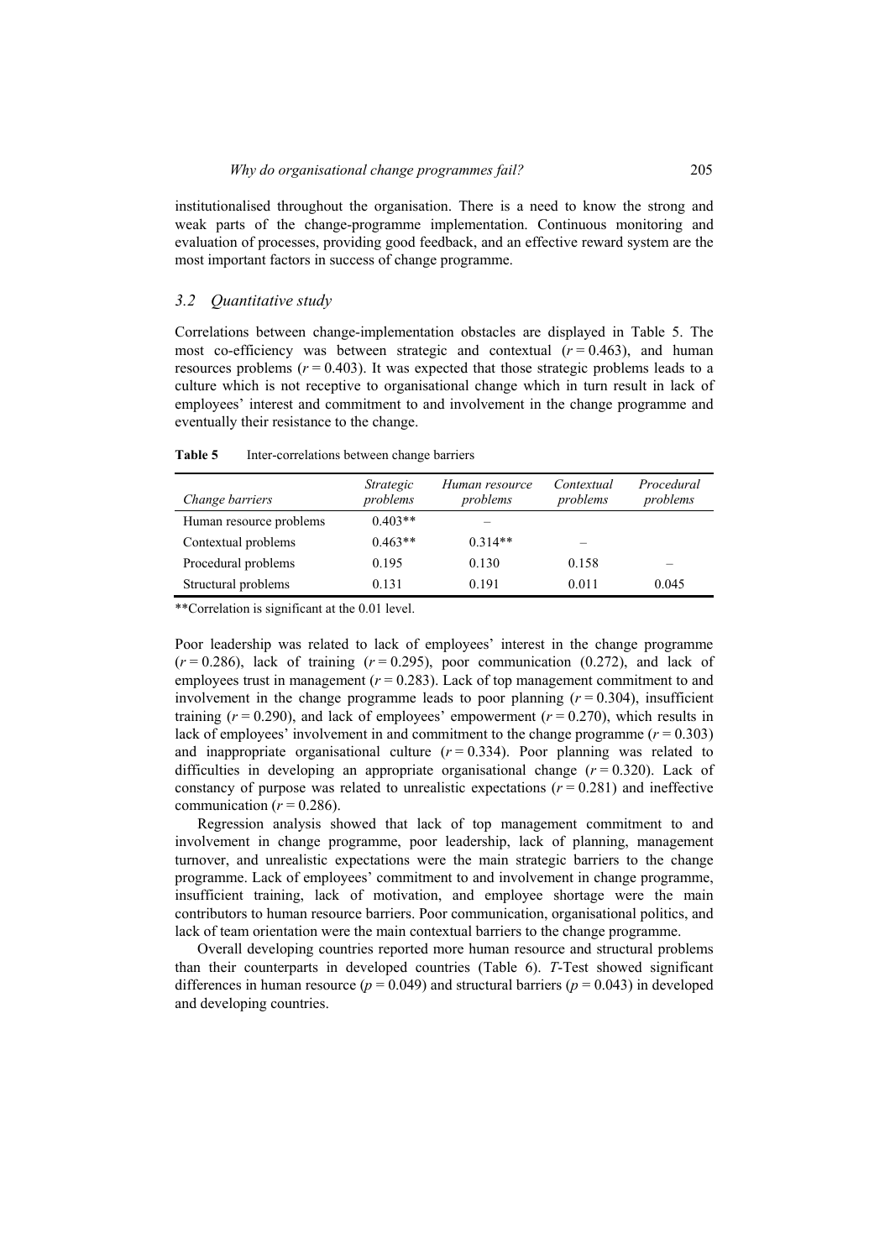institutionalised throughout the organisation. There is a need to know the strong and weak parts of the change-programme implementation. Continuous monitoring and evaluation of processes, providing good feedback, and an effective reward system are the most important factors in success of change programme.

#### *3.2 Quantitative study*

Correlations between change-implementation obstacles are displayed in Table 5. The most co-efficiency was between strategic and contextual  $(r = 0.463)$ , and human resources problems  $(r = 0.403)$ . It was expected that those strategic problems leads to a culture which is not receptive to organisational change which in turn result in lack of employees' interest and commitment to and involvement in the change programme and eventually their resistance to the change.

**Table 5** Inter-correlations between change barriers

| Change barriers         | Strategic<br>problems | Human resource<br>problems | Contextual<br>problems | Procedural<br>problems |
|-------------------------|-----------------------|----------------------------|------------------------|------------------------|
| Human resource problems | $0.403**$             |                            |                        |                        |
| Contextual problems     | $0.463**$             | $0.314**$                  |                        |                        |
| Procedural problems     | 0.195                 | 0.130                      | 0.158                  |                        |
| Structural problems     | 0.131                 | 0.191                      | 0.011                  | 0.045                  |

\*\*Correlation is significant at the 0.01 level.

Poor leadership was related to lack of employees' interest in the change programme  $(r=0.286)$ , lack of training  $(r=0.295)$ , poor communication  $(0.272)$ , and lack of employees trust in management  $(r = 0.283)$ . Lack of top management commitment to and involvement in the change programme leads to poor planning  $(r = 0.304)$ , insufficient training  $(r = 0.290)$ , and lack of employees' empowerment  $(r = 0.270)$ , which results in lack of employees' involvement in and commitment to the change programme  $(r = 0.303)$ and inappropriate organisational culture  $(r = 0.334)$ . Poor planning was related to difficulties in developing an appropriate organisational change  $(r = 0.320)$ . Lack of constancy of purpose was related to unrealistic expectations  $(r = 0.281)$  and ineffective communication  $(r = 0.286)$ .

Regression analysis showed that lack of top management commitment to and involvement in change programme, poor leadership, lack of planning, management turnover, and unrealistic expectations were the main strategic barriers to the change programme. Lack of employees' commitment to and involvement in change programme, insufficient training, lack of motivation, and employee shortage were the main contributors to human resource barriers. Poor communication, organisational politics, and lack of team orientation were the main contextual barriers to the change programme.

Overall developing countries reported more human resource and structural problems than their counterparts in developed countries (Table 6). *T*-Test showed significant differences in human resource ( $p = 0.049$ ) and structural barriers ( $p = 0.043$ ) in developed and developing countries.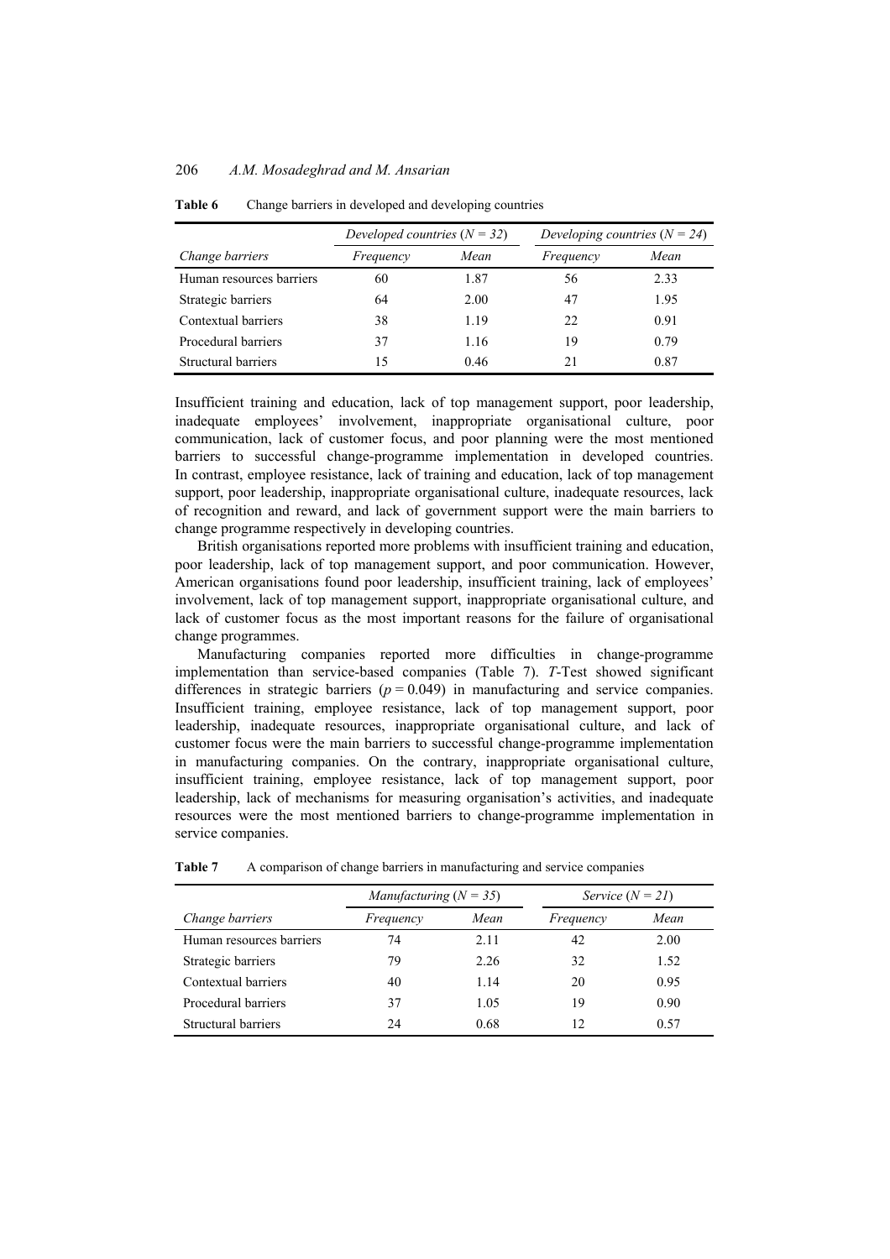|                          | Developed countries $(N = 32)$ |      | Developing countries $(N = 24)$ |      |
|--------------------------|--------------------------------|------|---------------------------------|------|
| Change barriers          | Frequency                      | Mean | Frequency                       | Mean |
| Human resources barriers | 60                             | 1.87 | 56                              | 2.33 |
| Strategic barriers       | 64                             | 2.00 | 47                              | 1.95 |
| Contextual barriers      | 38                             | 1.19 | 22                              | 0.91 |
| Procedural barriers      | 37                             | 1.16 | 19                              | 0.79 |
| Structural barriers      | 15                             | 0.46 | 21                              | 0.87 |

**Table 6** Change barriers in developed and developing countries

Insufficient training and education, lack of top management support, poor leadership, inadequate employees' involvement, inappropriate organisational culture, poor communication, lack of customer focus, and poor planning were the most mentioned barriers to successful change-programme implementation in developed countries. In contrast, employee resistance, lack of training and education, lack of top management support, poor leadership, inappropriate organisational culture, inadequate resources, lack of recognition and reward, and lack of government support were the main barriers to change programme respectively in developing countries.

British organisations reported more problems with insufficient training and education, poor leadership, lack of top management support, and poor communication. However, American organisations found poor leadership, insufficient training, lack of employees' involvement, lack of top management support, inappropriate organisational culture, and lack of customer focus as the most important reasons for the failure of organisational change programmes.

Manufacturing companies reported more difficulties in change-programme implementation than service-based companies (Table 7). *T*-Test showed significant differences in strategic barriers  $(p = 0.049)$  in manufacturing and service companies. Insufficient training, employee resistance, lack of top management support, poor leadership, inadequate resources, inappropriate organisational culture, and lack of customer focus were the main barriers to successful change-programme implementation in manufacturing companies. On the contrary, inappropriate organisational culture, insufficient training, employee resistance, lack of top management support, poor leadership, lack of mechanisms for measuring organisation's activities, and inadequate resources were the most mentioned barriers to change-programme implementation in service companies.

|                          | Manufacturing $(N = 35)$ |      | Service $(N = 21)$ |      |
|--------------------------|--------------------------|------|--------------------|------|
| Change barriers          | Frequency                | Mean | Frequency          | Mean |
| Human resources barriers | 74                       | 2.11 | 42                 | 2.00 |
| Strategic barriers       | 79                       | 2.26 | 32                 | 1.52 |
| Contextual barriers      | 40                       | 1.14 | 20                 | 0.95 |
| Procedural barriers      | 37                       | 1.05 | 19                 | 0.90 |
| Structural barriers      | 24                       | 0.68 | 12                 | 0.57 |

**Table 7** A comparison of change barriers in manufacturing and service companies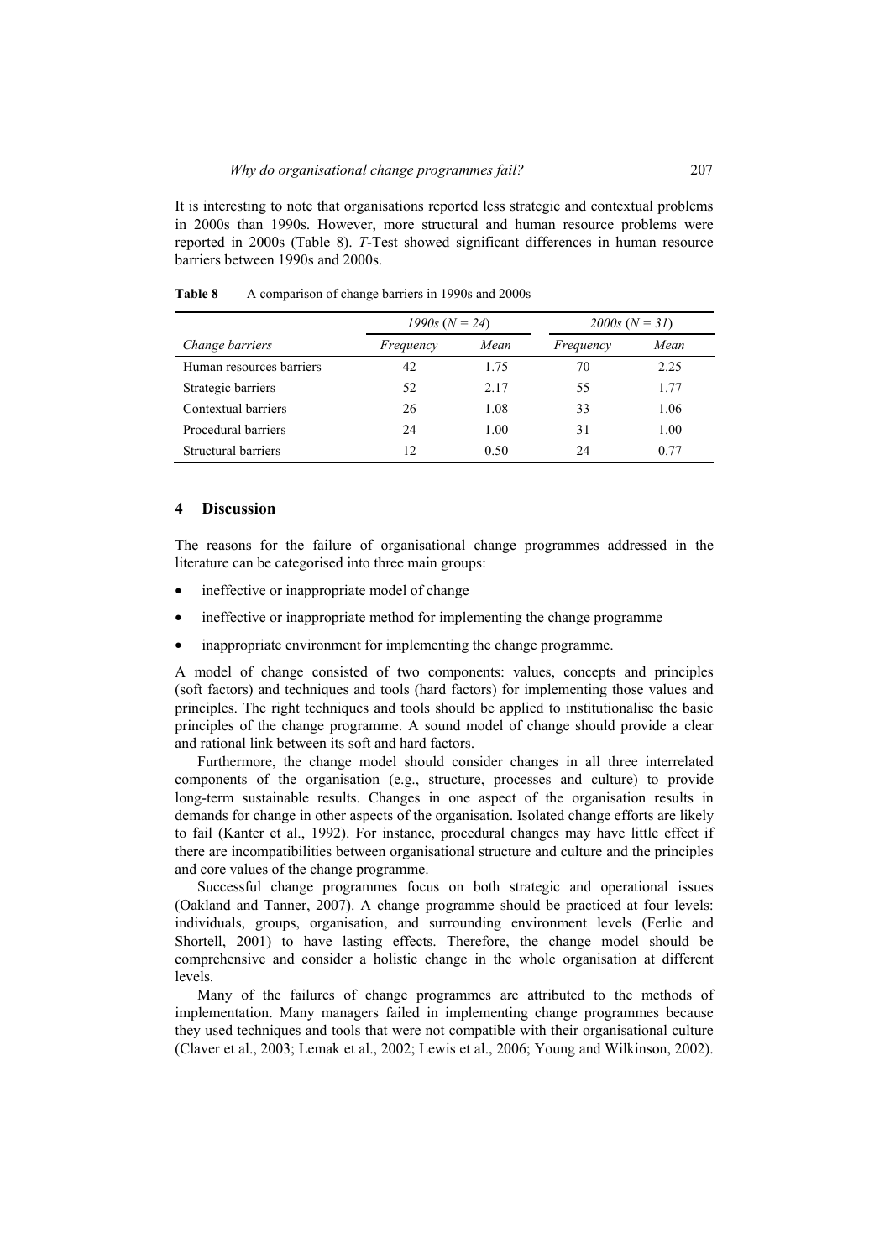It is interesting to note that organisations reported less strategic and contextual problems in 2000s than 1990s. However, more structural and human resource problems were reported in 2000s (Table 8). *T*-Test showed significant differences in human resource barriers between 1990s and 2000s.

|                          | $1990s (N = 24)$ |      | $2000s (N = 31)$ |      |
|--------------------------|------------------|------|------------------|------|
| Change barriers          | Frequency        | Mean | Frequency        | Mean |
| Human resources barriers | 42               | 1.75 | 70               | 2.25 |
| Strategic barriers       | 52               | 2.17 | 55               | 1.77 |
| Contextual barriers      | 26               | 1.08 | 33               | 1.06 |
| Procedural barriers      | 24               | 1.00 | 31               | 1.00 |
| Structural barriers      | 12               | 0.50 | 24               | 0.77 |

Table 8 A comparison of change barriers in 1990s and 2000s

### **4 Discussion**

The reasons for the failure of organisational change programmes addressed in the literature can be categorised into three main groups:

- ineffective or inappropriate model of change
- ineffective or inappropriate method for implementing the change programme
- inappropriate environment for implementing the change programme.

A model of change consisted of two components: values, concepts and principles (soft factors) and techniques and tools (hard factors) for implementing those values and principles. The right techniques and tools should be applied to institutionalise the basic principles of the change programme. A sound model of change should provide a clear and rational link between its soft and hard factors.

Furthermore, the change model should consider changes in all three interrelated components of the organisation (e.g., structure, processes and culture) to provide long-term sustainable results. Changes in one aspect of the organisation results in demands for change in other aspects of the organisation. Isolated change efforts are likely to fail (Kanter et al., 1992). For instance, procedural changes may have little effect if there are incompatibilities between organisational structure and culture and the principles and core values of the change programme.

Successful change programmes focus on both strategic and operational issues (Oakland and Tanner, 2007). A change programme should be practiced at four levels: individuals, groups, organisation, and surrounding environment levels (Ferlie and Shortell, 2001) to have lasting effects. Therefore, the change model should be comprehensive and consider a holistic change in the whole organisation at different levels.

Many of the failures of change programmes are attributed to the methods of implementation. Many managers failed in implementing change programmes because they used techniques and tools that were not compatible with their organisational culture (Claver et al., 2003; Lemak et al., 2002; Lewis et al., 2006; Young and Wilkinson, 2002).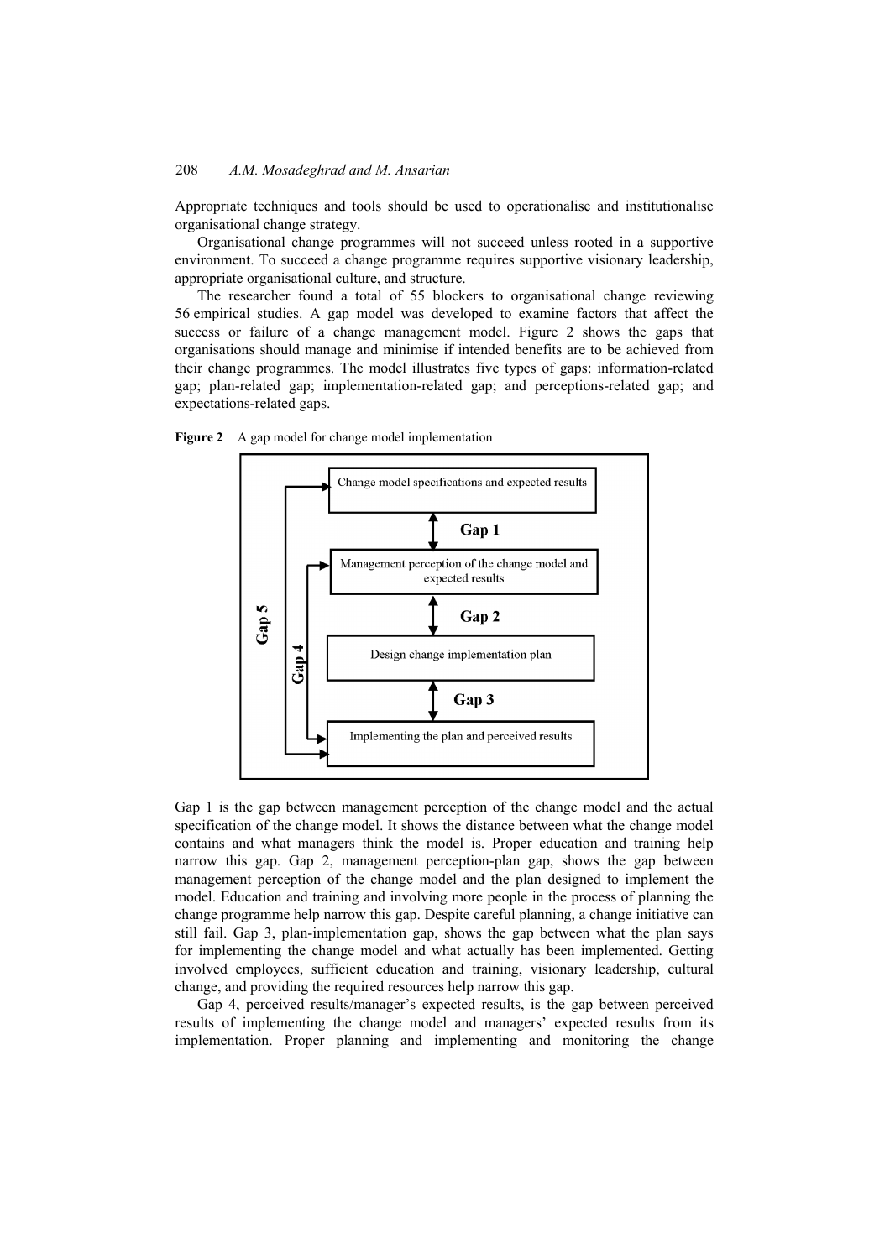Appropriate techniques and tools should be used to operationalise and institutionalise organisational change strategy.

Organisational change programmes will not succeed unless rooted in a supportive environment. To succeed a change programme requires supportive visionary leadership, appropriate organisational culture, and structure.

The researcher found a total of 55 blockers to organisational change reviewing 56 empirical studies. A gap model was developed to examine factors that affect the success or failure of a change management model. Figure 2 shows the gaps that organisations should manage and minimise if intended benefits are to be achieved from their change programmes. The model illustrates five types of gaps: information-related gap; plan-related gap; implementation-related gap; and perceptions-related gap; and expectations-related gaps.



**Figure 2** A gap model for change model implementation

Gap 1 is the gap between management perception of the change model and the actual specification of the change model. It shows the distance between what the change model contains and what managers think the model is. Proper education and training help narrow this gap. Gap 2, management perception-plan gap, shows the gap between management perception of the change model and the plan designed to implement the model. Education and training and involving more people in the process of planning the change programme help narrow this gap. Despite careful planning, a change initiative can still fail. Gap 3, plan-implementation gap, shows the gap between what the plan says for implementing the change model and what actually has been implemented. Getting involved employees, sufficient education and training, visionary leadership, cultural change, and providing the required resources help narrow this gap.

Gap 4, perceived results/manager's expected results, is the gap between perceived results of implementing the change model and managers' expected results from its implementation. Proper planning and implementing and monitoring the change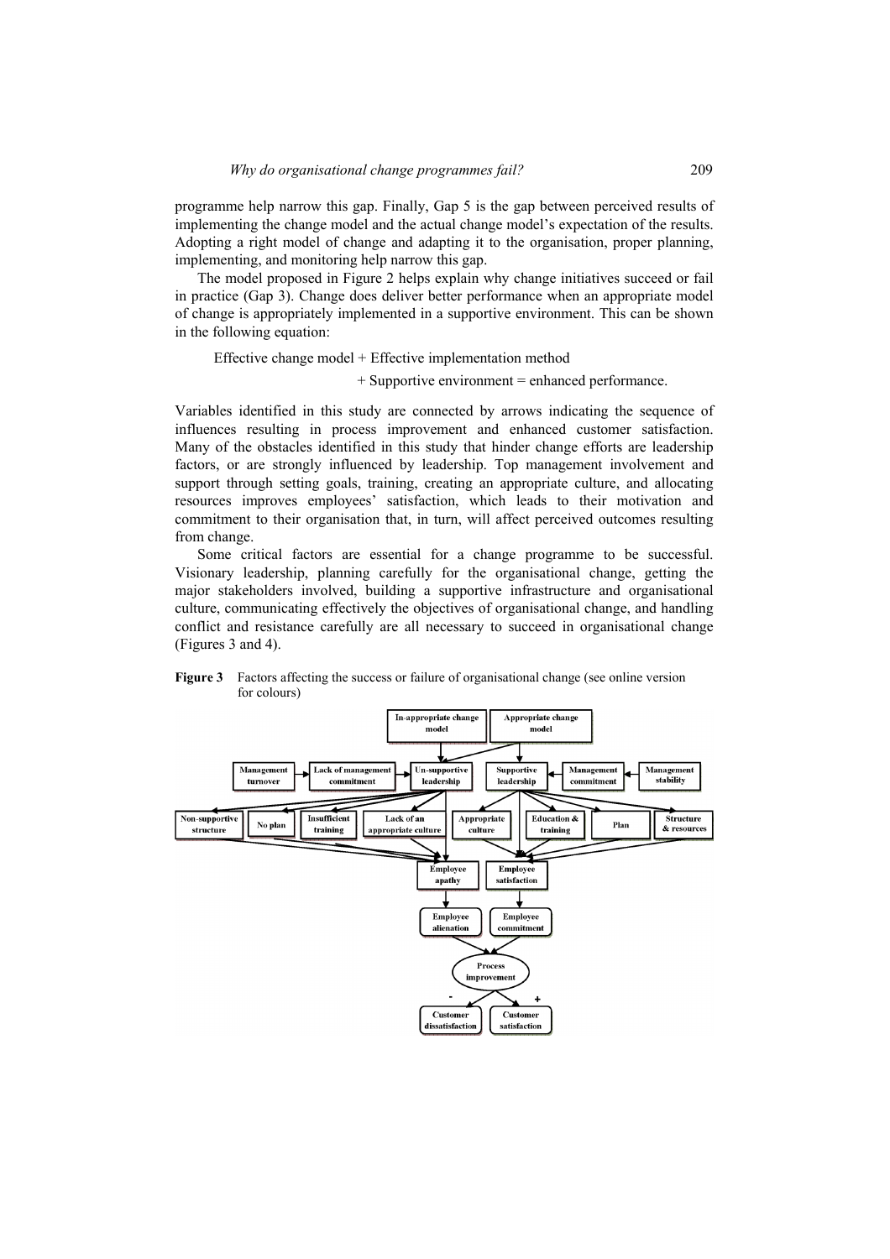programme help narrow this gap. Finally, Gap 5 is the gap between perceived results of implementing the change model and the actual change model's expectation of the results. Adopting a right model of change and adapting it to the organisation, proper planning, implementing, and monitoring help narrow this gap.

The model proposed in Figure 2 helps explain why change initiatives succeed or fail in practice (Gap 3). Change does deliver better performance when an appropriate model of change is appropriately implemented in a supportive environment. This can be shown in the following equation:

# Effective change model + Effective implementation method

#### + Supportive environment = enhanced performance.

Variables identified in this study are connected by arrows indicating the sequence of influences resulting in process improvement and enhanced customer satisfaction. Many of the obstacles identified in this study that hinder change efforts are leadership factors, or are strongly influenced by leadership. Top management involvement and support through setting goals, training, creating an appropriate culture, and allocating resources improves employees' satisfaction, which leads to their motivation and commitment to their organisation that, in turn, will affect perceived outcomes resulting from change.

Some critical factors are essential for a change programme to be successful. Visionary leadership, planning carefully for the organisational change, getting the major stakeholders involved, building a supportive infrastructure and organisational culture, communicating effectively the objectives of organisational change, and handling conflict and resistance carefully are all necessary to succeed in organisational change (Figures 3 and 4).



#### **Figure 3** Factors affecting the success or failure of organisational change (see online version for colours)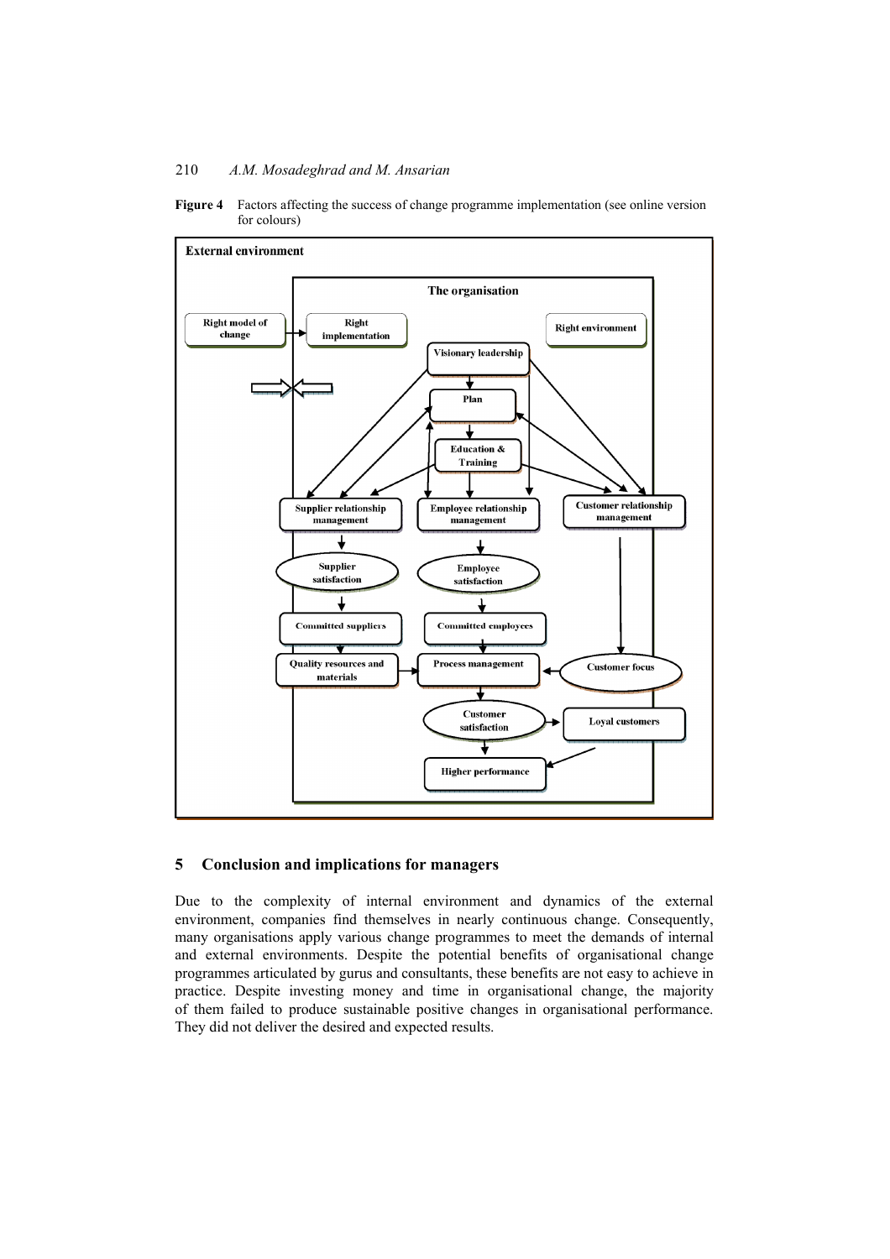

**Figure 4** Factors affecting the success of change programme implementation (see online version for colours)

# **5 Conclusion and implications for managers**

Due to the complexity of internal environment and dynamics of the external environment, companies find themselves in nearly continuous change. Consequently, many organisations apply various change programmes to meet the demands of internal and external environments. Despite the potential benefits of organisational change programmes articulated by gurus and consultants, these benefits are not easy to achieve in practice. Despite investing money and time in organisational change, the majority of them failed to produce sustainable positive changes in organisational performance. They did not deliver the desired and expected results.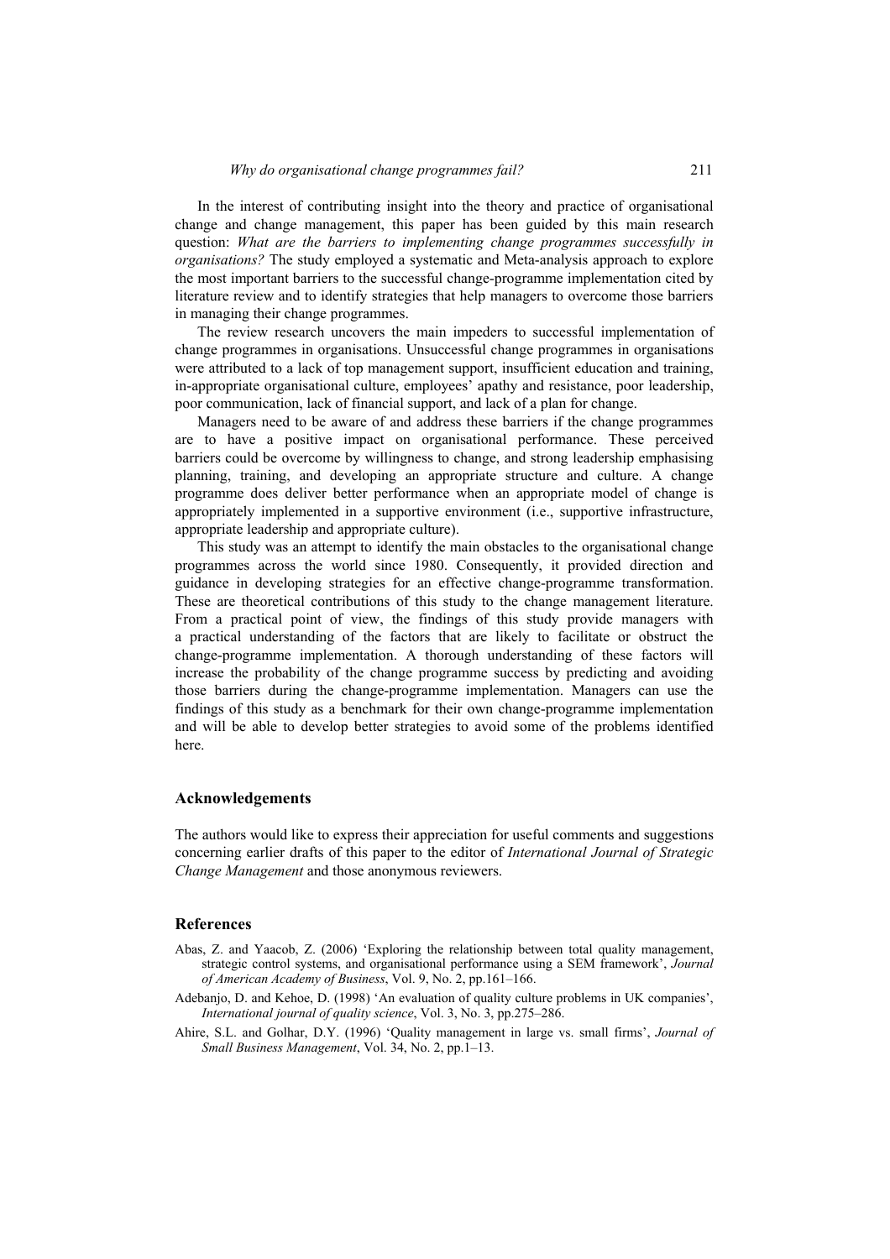In the interest of contributing insight into the theory and practice of organisational change and change management, this paper has been guided by this main research question: *What are the barriers to implementing change programmes successfully in organisations?* The study employed a systematic and Meta-analysis approach to explore the most important barriers to the successful change-programme implementation cited by literature review and to identify strategies that help managers to overcome those barriers in managing their change programmes.

The review research uncovers the main impeders to successful implementation of change programmes in organisations. Unsuccessful change programmes in organisations were attributed to a lack of top management support, insufficient education and training, in-appropriate organisational culture, employees' apathy and resistance, poor leadership, poor communication, lack of financial support, and lack of a plan for change.

Managers need to be aware of and address these barriers if the change programmes are to have a positive impact on organisational performance. These perceived barriers could be overcome by willingness to change, and strong leadership emphasising planning, training, and developing an appropriate structure and culture. A change programme does deliver better performance when an appropriate model of change is appropriately implemented in a supportive environment (i.e., supportive infrastructure, appropriate leadership and appropriate culture).

This study was an attempt to identify the main obstacles to the organisational change programmes across the world since 1980. Consequently, it provided direction and guidance in developing strategies for an effective change-programme transformation. These are theoretical contributions of this study to the change management literature. From a practical point of view, the findings of this study provide managers with a practical understanding of the factors that are likely to facilitate or obstruct the change-programme implementation. A thorough understanding of these factors will increase the probability of the change programme success by predicting and avoiding those barriers during the change-programme implementation. Managers can use the findings of this study as a benchmark for their own change-programme implementation and will be able to develop better strategies to avoid some of the problems identified here.

### **Acknowledgements**

The authors would like to express their appreciation for useful comments and suggestions concerning earlier drafts of this paper to the editor of *International Journal of Strategic Change Management* and those anonymous reviewers.

### **References**

- Abas, Z. and Yaacob, Z. (2006) 'Exploring the relationship between total quality management, strategic control systems, and organisational performance using a SEM framework', *Journal of American Academy of Business*, Vol. 9, No. 2, pp.161–166.
- Adebanjo, D. and Kehoe, D. (1998) 'An evaluation of quality culture problems in UK companies', *International journal of quality science*, Vol. 3, No. 3, pp.275–286.
- Ahire, S.L. and Golhar, D.Y. (1996) 'Quality management in large vs. small firms', *Journal of Small Business Management*, Vol. 34, No. 2, pp.1–13.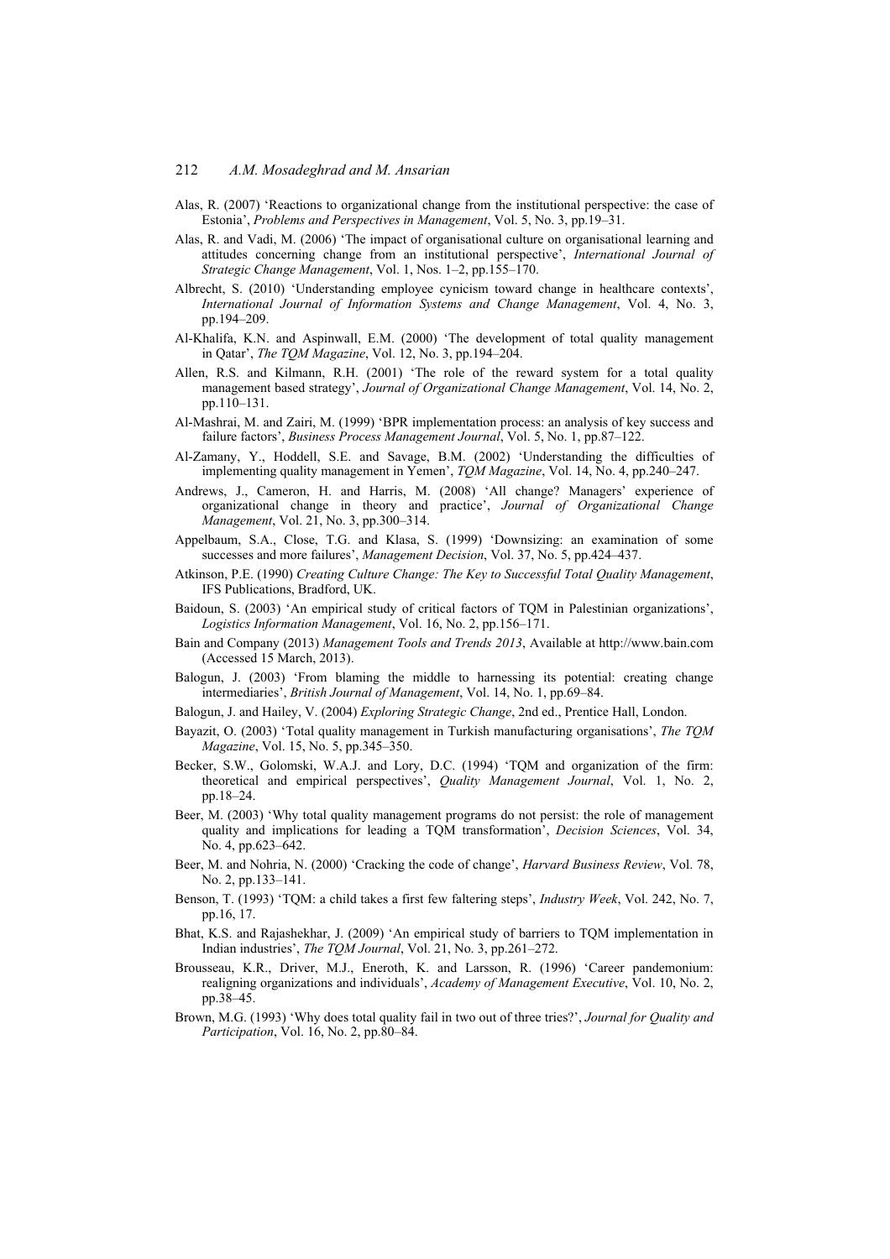- Alas, R. (2007) 'Reactions to organizational change from the institutional perspective: the case of Estonia', *Problems and Perspectives in Management*, Vol. 5, No. 3, pp.19–31.
- Alas, R. and Vadi, M. (2006) 'The impact of organisational culture on organisational learning and attitudes concerning change from an institutional perspective', *International Journal of Strategic Change Management*, Vol. 1, Nos. 1–2, pp.155–170.
- Albrecht, S. (2010) 'Understanding employee cynicism toward change in healthcare contexts', *International Journal of Information Systems and Change Management*, Vol. 4, No. 3, pp.194–209.
- Al-Khalifa, K.N. and Aspinwall, E.M. (2000) 'The development of total quality management in Qatar', *The TQM Magazine*, Vol. 12, No. 3, pp.194–204.
- Allen, R.S. and Kilmann, R.H. (2001) 'The role of the reward system for a total quality management based strategy', *Journal of Organizational Change Management*, Vol. 14, No. 2, pp.110–131.
- Al-Mashrai, M. and Zairi, M. (1999) 'BPR implementation process: an analysis of key success and failure factors', *Business Process Management Journal*, Vol. 5, No. 1, pp.87–122.
- Al-Zamany, Y., Hoddell, S.E. and Savage, B.M. (2002) 'Understanding the difficulties of implementing quality management in Yemen', *TQM Magazine*, Vol. 14, No. 4, pp.240–247.
- Andrews, J., Cameron, H. and Harris, M. (2008) 'All change? Managers' experience of organizational change in theory and practice', *Journal of Organizational Change Management*, Vol. 21, No. 3, pp.300–314.
- Appelbaum, S.A., Close, T.G. and Klasa, S. (1999) 'Downsizing: an examination of some successes and more failures', *Management Decision*, Vol. 37, No. 5, pp.424–437.
- Atkinson, P.E. (1990) *Creating Culture Change: The Key to Successful Total Quality Management*, IFS Publications, Bradford, UK.
- Baidoun, S. (2003) 'An empirical study of critical factors of TQM in Palestinian organizations', *Logistics Information Management*, Vol. 16, No. 2, pp.156–171.
- Bain and Company (2013) *Management Tools and Trends 2013*, Available at http://www.bain.com (Accessed 15 March, 2013).
- Balogun, J. (2003) 'From blaming the middle to harnessing its potential: creating change intermediaries', *British Journal of Management*, Vol. 14, No. 1, pp.69–84.
- Balogun, J. and Hailey, V. (2004) *Exploring Strategic Change*, 2nd ed., Prentice Hall, London.
- Bayazit, O. (2003) 'Total quality management in Turkish manufacturing organisations', *The TQM Magazine*, Vol. 15, No. 5, pp.345–350.
- Becker, S.W., Golomski, W.A.J. and Lory, D.C. (1994) 'TQM and organization of the firm: theoretical and empirical perspectives', *Quality Management Journal*, Vol. 1, No. 2, pp.18–24.
- Beer, M. (2003) 'Why total quality management programs do not persist: the role of management quality and implications for leading a TQM transformation', *Decision Sciences*, Vol. 34, No. 4, pp.623–642.
- Beer, M. and Nohria, N. (2000) 'Cracking the code of change', *Harvard Business Review*, Vol. 78, No. 2, pp.133–141.
- Benson, T. (1993) 'TQM: a child takes a first few faltering steps', *Industry Week*, Vol. 242, No. 7, pp.16, 17.
- Bhat, K.S. and Rajashekhar, J. (2009) 'An empirical study of barriers to TQM implementation in Indian industries', *The TQM Journal*, Vol. 21, No. 3, pp.261–272.
- Brousseau, K.R., Driver, M.J., Eneroth, K. and Larsson, R. (1996) 'Career pandemonium: realigning organizations and individuals', *Academy of Management Executive*, Vol. 10, No. 2, pp.38–45.
- Brown, M.G. (1993) 'Why does total quality fail in two out of three tries?', *Journal for Quality and Participation*, Vol. 16, No. 2, pp.80–84.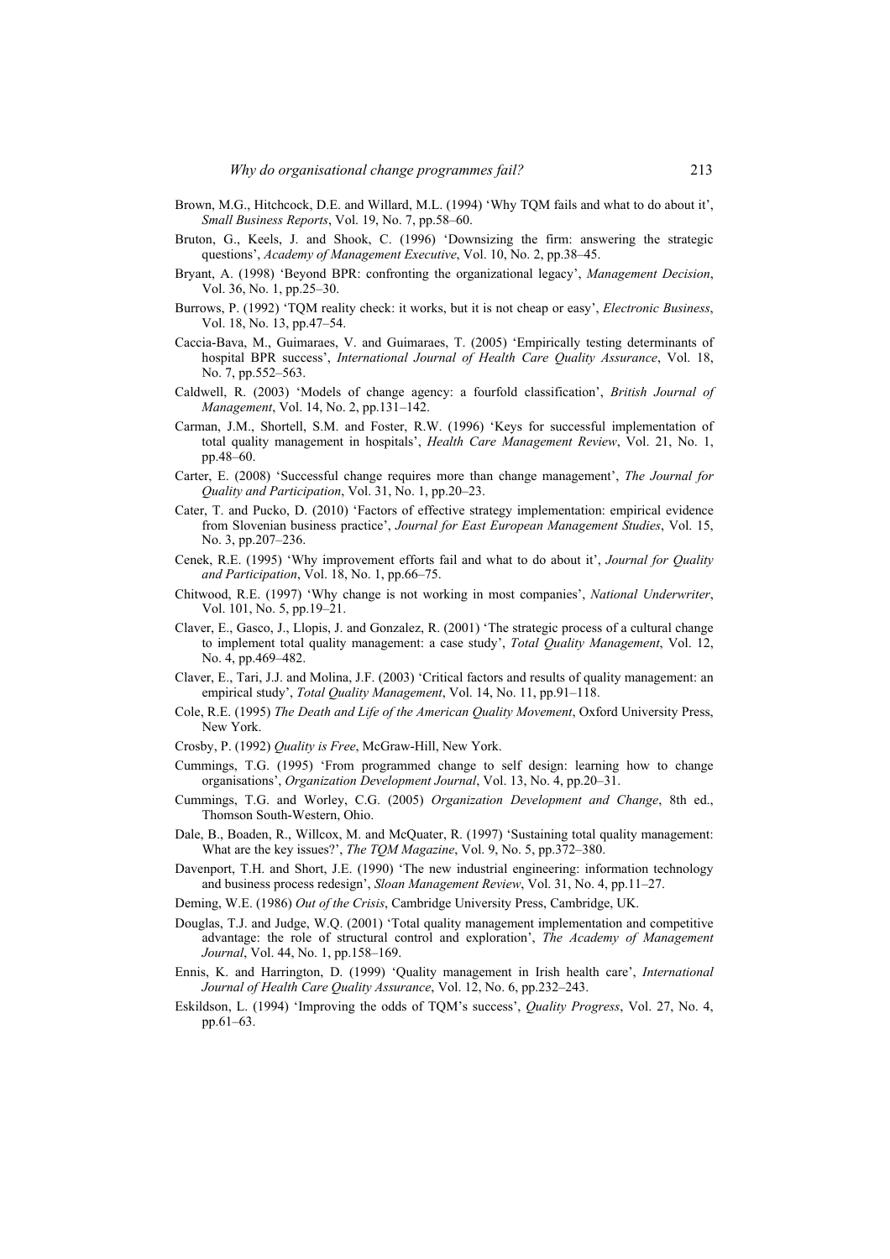- Brown, M.G., Hitchcock, D.E. and Willard, M.L. (1994) 'Why TQM fails and what to do about it', *Small Business Reports*, Vol. 19, No. 7, pp.58–60.
- Bruton, G., Keels, J. and Shook, C. (1996) 'Downsizing the firm: answering the strategic questions', *Academy of Management Executive*, Vol. 10, No. 2, pp.38–45.
- Bryant, A. (1998) 'Beyond BPR: confronting the organizational legacy', *Management Decision*, Vol. 36, No. 1, pp.25–30.
- Burrows, P. (1992) 'TQM reality check: it works, but it is not cheap or easy', *Electronic Business*, Vol. 18, No. 13, pp.47–54.
- Caccia-Bava, M., Guimaraes, V. and Guimaraes, T. (2005) 'Empirically testing determinants of hospital BPR success', *International Journal of Health Care Quality Assurance*, Vol. 18, No. 7, pp.552–563.
- Caldwell, R. (2003) 'Models of change agency: a fourfold classification', *British Journal of Management*, Vol. 14, No. 2, pp.131–142.
- Carman, J.M., Shortell, S.M. and Foster, R.W. (1996) 'Keys for successful implementation of total quality management in hospitals', *Health Care Management Review*, Vol. 21, No. 1, pp.48–60.
- Carter, E. (2008) 'Successful change requires more than change management', *The Journal for Quality and Participation*, Vol. 31, No. 1, pp.20–23.
- Cater, T. and Pucko, D. (2010) 'Factors of effective strategy implementation: empirical evidence from Slovenian business practice', *Journal for East European Management Studies*, Vol. 15, No. 3, pp.207–236.
- Cenek, R.E. (1995) 'Why improvement efforts fail and what to do about it', *Journal for Quality and Participation*, Vol. 18, No. 1, pp.66–75.
- Chitwood, R.E. (1997) 'Why change is not working in most companies', *National Underwriter*, Vol. 101, No. 5, pp.19–21.
- Claver, E., Gasco, J., Llopis, J. and Gonzalez, R. (2001) 'The strategic process of a cultural change to implement total quality management: a case study', *Total Quality Management*, Vol. 12, No. 4, pp.469–482.
- Claver, E., Tari, J.J. and Molina, J.F. (2003) 'Critical factors and results of quality management: an empirical study', *Total Quality Management*, Vol. 14, No. 11, pp.91–118.
- Cole, R.E. (1995) *The Death and Life of the American Quality Movement*, Oxford University Press, New York.
- Crosby, P. (1992) *Quality is Free*, McGraw-Hill, New York.
- Cummings, T.G. (1995) 'From programmed change to self design: learning how to change organisations', *Organization Development Journal*, Vol. 13, No. 4, pp.20–31.
- Cummings, T.G. and Worley, C.G. (2005) *Organization Development and Change*, 8th ed., Thomson South-Western, Ohio.
- Dale, B., Boaden, R., Willcox, M. and McQuater, R. (1997) 'Sustaining total quality management: What are the key issues?', *The TQM Magazine*, Vol. 9, No. 5, pp.372–380.
- Davenport, T.H. and Short, J.E. (1990) 'The new industrial engineering: information technology and business process redesign', *Sloan Management Review*, Vol. 31, No. 4, pp.11–27.
- Deming, W.E. (1986) *Out of the Crisis*, Cambridge University Press, Cambridge, UK.
- Douglas, T.J. and Judge, W.Q. (2001) 'Total quality management implementation and competitive advantage: the role of structural control and exploration', *The Academy of Management Journal*, Vol. 44, No. 1, pp.158–169.
- Ennis, K. and Harrington, D. (1999) 'Quality management in Irish health care', *International Journal of Health Care Quality Assurance*, Vol. 12, No. 6, pp.232–243.
- Eskildson, L. (1994) 'Improving the odds of TQM's success', *Quality Progress*, Vol. 27, No. 4, pp.61–63.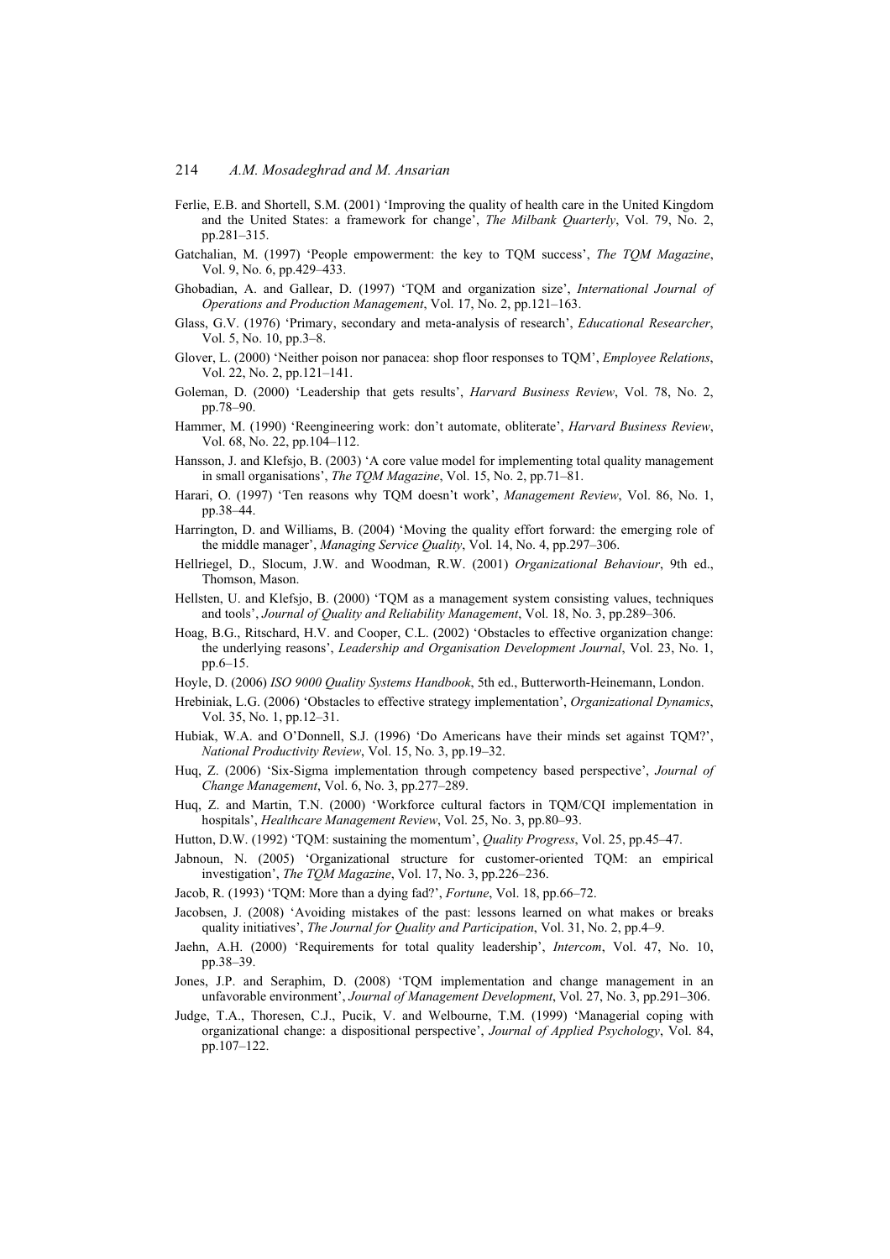- Ferlie, E.B. and Shortell, S.M. (2001) 'Improving the quality of health care in the United Kingdom and the United States: a framework for change', *The Milbank Quarterly*, Vol. 79, No. 2, pp.281–315.
- Gatchalian, M. (1997) 'People empowerment: the key to TQM success', *The TQM Magazine*, Vol. 9, No. 6, pp.429–433.
- Ghobadian, A. and Gallear, D. (1997) 'TQM and organization size', *International Journal of Operations and Production Management*, Vol. 17, No. 2, pp.121–163.
- Glass, G.V. (1976) 'Primary, secondary and meta-analysis of research', *Educational Researcher*, Vol. 5, No. 10, pp.3–8.
- Glover, L. (2000) 'Neither poison nor panacea: shop floor responses to TQM', *Employee Relations*, Vol. 22, No. 2, pp.121–141.
- Goleman, D. (2000) 'Leadership that gets results', *Harvard Business Review*, Vol. 78, No. 2, pp.78–90.
- Hammer, M. (1990) 'Reengineering work: don't automate, obliterate', *Harvard Business Review*, Vol. 68, No. 22, pp.104–112.
- Hansson, J. and Klefsjo, B. (2003) 'A core value model for implementing total quality management in small organisations', *The TQM Magazine*, Vol. 15, No. 2, pp.71–81.
- Harari, O. (1997) 'Ten reasons why TQM doesn't work', *Management Review*, Vol. 86, No. 1, pp.38–44.
- Harrington, D. and Williams, B. (2004) 'Moving the quality effort forward: the emerging role of the middle manager', *Managing Service Quality*, Vol. 14, No. 4, pp.297–306.
- Hellriegel, D., Slocum, J.W. and Woodman, R.W. (2001) *Organizational Behaviour*, 9th ed., Thomson, Mason.
- Hellsten, U. and Klefsjo, B. (2000) 'TQM as a management system consisting values, techniques and tools', *Journal of Quality and Reliability Management*, Vol. 18, No. 3, pp.289–306.
- Hoag, B.G., Ritschard, H.V. and Cooper, C.L. (2002) 'Obstacles to effective organization change: the underlying reasons', *Leadership and Organisation Development Journal*, Vol. 23, No. 1, pp.6–15.
- Hoyle, D. (2006) *ISO 9000 Quality Systems Handbook*, 5th ed., Butterworth-Heinemann, London.
- Hrebiniak, L.G. (2006) 'Obstacles to effective strategy implementation', *Organizational Dynamics*, Vol. 35, No. 1, pp.12–31.
- Hubiak, W.A. and O'Donnell, S.J. (1996) 'Do Americans have their minds set against TQM?', *National Productivity Review*, Vol. 15, No. 3, pp.19–32.
- Huq, Z. (2006) 'Six-Sigma implementation through competency based perspective', *Journal of Change Management*, Vol. 6, No. 3, pp.277–289.
- Huq, Z. and Martin, T.N. (2000) 'Workforce cultural factors in TQM/CQI implementation in hospitals', *Healthcare Management Review*, Vol. 25, No. 3, pp.80–93.
- Hutton, D.W. (1992) 'TQM: sustaining the momentum', *Quality Progress*, Vol. 25, pp.45–47.
- Jabnoun, N. (2005) 'Organizational structure for customer-oriented TQM: an empirical investigation', *The TQM Magazine*, Vol. 17, No. 3, pp.226–236.
- Jacob, R. (1993) 'TQM: More than a dying fad?', *Fortune*, Vol. 18, pp.66–72.
- Jacobsen, J. (2008) 'Avoiding mistakes of the past: lessons learned on what makes or breaks quality initiatives', *The Journal for Quality and Participation*, Vol. 31, No. 2, pp.4–9.
- Jaehn, A.H. (2000) 'Requirements for total quality leadership', *Intercom*, Vol. 47, No. 10, pp.38–39.
- Jones, J.P. and Seraphim, D. (2008) 'TQM implementation and change management in an unfavorable environment', *Journal of Management Development*, Vol. 27, No. 3, pp.291–306.
- Judge, T.A., Thoresen, C.J., Pucik, V. and Welbourne, T.M. (1999) 'Managerial coping with organizational change: a dispositional perspective', *Journal of Applied Psychology*, Vol. 84, pp.107–122.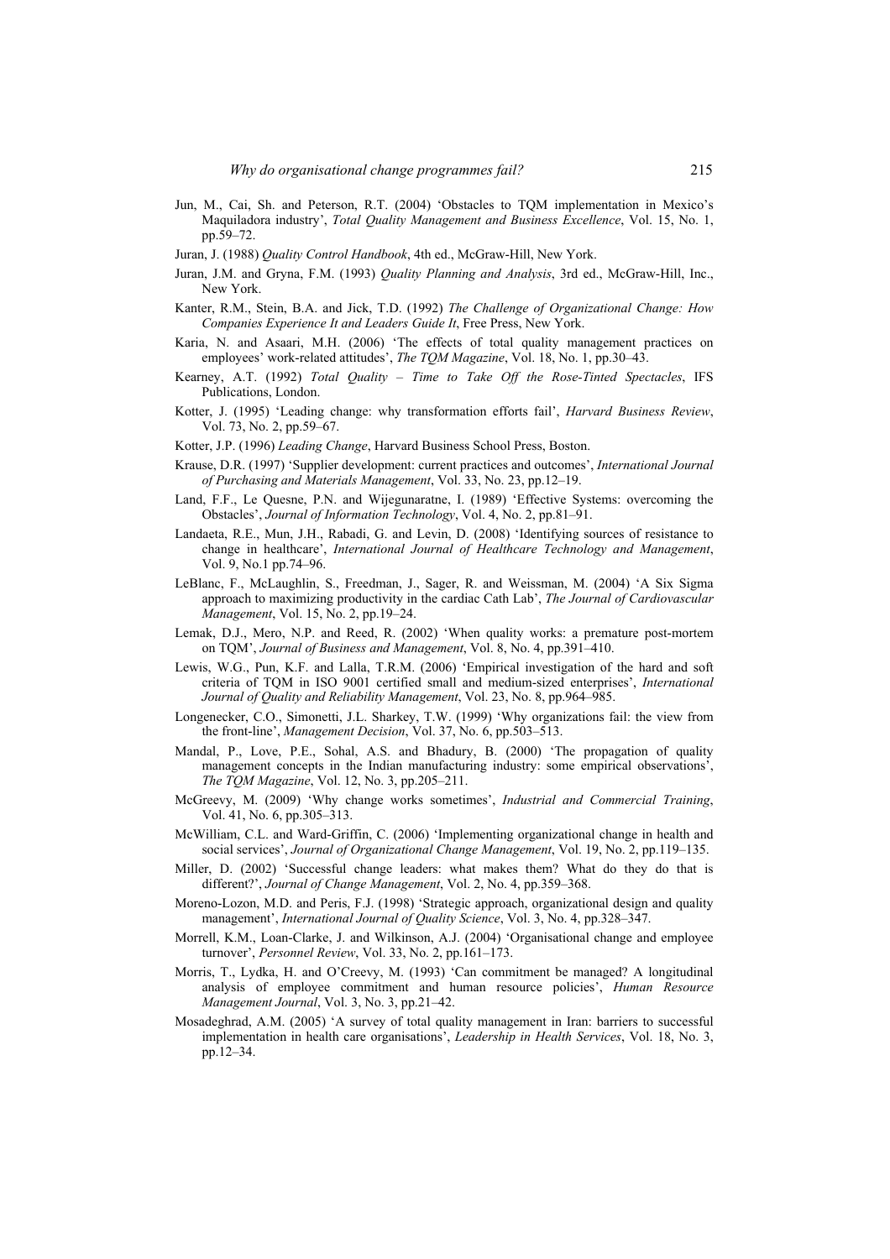- Jun, M., Cai, Sh. and Peterson, R.T. (2004) 'Obstacles to TQM implementation in Mexico's Maquiladora industry', *Total Quality Management and Business Excellence*, Vol. 15, No. 1, pp.59–72.
- Juran, J. (1988) *Quality Control Handbook*, 4th ed., McGraw-Hill, New York.
- Juran, J.M. and Gryna, F.M. (1993) *Quality Planning and Analysis*, 3rd ed., McGraw-Hill, Inc., New York.
- Kanter, R.M., Stein, B.A. and Jick, T.D. (1992) *The Challenge of Organizational Change: How Companies Experience It and Leaders Guide It*, Free Press, New York.
- Karia, N. and Asaari, M.H. (2006) 'The effects of total quality management practices on employees' work-related attitudes', *The TQM Magazine*, Vol. 18, No. 1, pp.30–43.
- Kearney, A.T. (1992) *Total Quality Time to Take Off the Rose-Tinted Spectacles*, IFS Publications, London.
- Kotter, J. (1995) 'Leading change: why transformation efforts fail', *Harvard Business Review*, Vol. 73, No. 2, pp.59–67.
- Kotter, J.P. (1996) *Leading Change*, Harvard Business School Press, Boston.
- Krause, D.R. (1997) 'Supplier development: current practices and outcomes', *International Journal of Purchasing and Materials Management*, Vol. 33, No. 23, pp.12–19.
- Land, F.F., Le Quesne, P.N. and Wijegunaratne, I. (1989) 'Effective Systems: overcoming the Obstacles', *Journal of Information Technology*, Vol. 4, No. 2, pp.81–91.
- Landaeta, R.E., Mun, J.H., Rabadi, G. and Levin, D. (2008) 'Identifying sources of resistance to change in healthcare', *International Journal of Healthcare Technology and Management*, Vol. 9, No.1 pp.74–96.
- LeBlanc, F., McLaughlin, S., Freedman, J., Sager, R. and Weissman, M. (2004) 'A Six Sigma approach to maximizing productivity in the cardiac Cath Lab', *The Journal of Cardiovascular Management*, Vol. 15, No. 2, pp.19–24.
- Lemak, D.J., Mero, N.P. and Reed, R. (2002) 'When quality works: a premature post-mortem on TQM', *Journal of Business and Management*, Vol. 8, No. 4, pp.391–410.
- Lewis, W.G., Pun, K.F. and Lalla, T.R.M. (2006) 'Empirical investigation of the hard and soft criteria of TQM in ISO 9001 certified small and medium-sized enterprises', *International Journal of Quality and Reliability Management*, Vol. 23, No. 8, pp.964–985.
- Longenecker, C.O., Simonetti, J.L. Sharkey, T.W. (1999) 'Why organizations fail: the view from the front-line', *Management Decision*, Vol. 37, No. 6, pp.503–513.
- Mandal, P., Love, P.E., Sohal, A.S. and Bhadury, B. (2000) 'The propagation of quality management concepts in the Indian manufacturing industry: some empirical observations', *The TQM Magazine*, Vol. 12, No. 3, pp.205–211.
- McGreevy, M. (2009) 'Why change works sometimes', *Industrial and Commercial Training*, Vol. 41, No. 6, pp.305–313.
- McWilliam, C.L. and Ward-Griffin, C. (2006) 'Implementing organizational change in health and social services', *Journal of Organizational Change Management*, Vol. 19, No. 2, pp.119–135.
- Miller, D. (2002) 'Successful change leaders: what makes them? What do they do that is different?', *Journal of Change Management*, Vol. 2, No. 4, pp.359–368.
- Moreno-Lozon, M.D. and Peris, F.J. (1998) 'Strategic approach, organizational design and quality management', *International Journal of Quality Science*, Vol. 3, No. 4, pp.328–347.
- Morrell, K.M., Loan-Clarke, J. and Wilkinson, A.J. (2004) 'Organisational change and employee turnover', *Personnel Review*, Vol. 33, No. 2, pp.161–173.
- Morris, T., Lydka, H. and O'Creevy, M. (1993) 'Can commitment be managed? A longitudinal analysis of employee commitment and human resource policies', *Human Resource Management Journal*, Vol. 3, No. 3, pp.21–42.
- Mosadeghrad, A.M. (2005) 'A survey of total quality management in Iran: barriers to successful implementation in health care organisations', *Leadership in Health Services*, Vol. 18, No. 3, pp.12–34.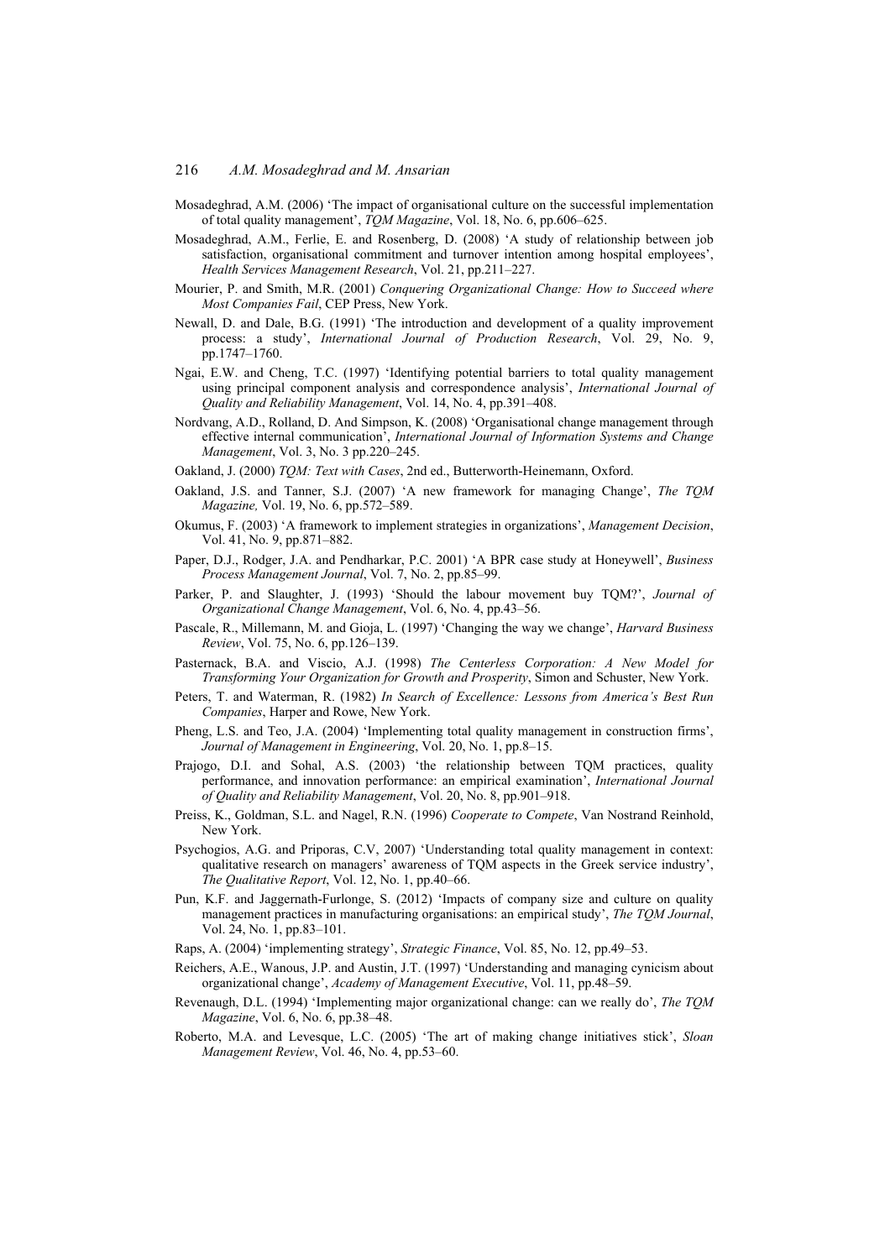- Mosadeghrad, A.M. (2006) 'The impact of organisational culture on the successful implementation of total quality management', *TQM Magazine*, Vol. 18, No. 6, pp.606–625.
- Mosadeghrad, A.M., Ferlie, E. and Rosenberg, D. (2008) 'A study of relationship between job satisfaction, organisational commitment and turnover intention among hospital employees', *Health Services Management Research*, Vol. 21, pp.211–227.
- Mourier, P. and Smith, M.R. (2001) *Conquering Organizational Change: How to Succeed where Most Companies Fail*, CEP Press, New York.
- Newall, D. and Dale, B.G. (1991) 'The introduction and development of a quality improvement process: a study', *International Journal of Production Research*, Vol. 29, No. 9, pp.1747–1760.
- Ngai, E.W. and Cheng, T.C. (1997) 'Identifying potential barriers to total quality management using principal component analysis and correspondence analysis', *International Journal of Quality and Reliability Management*, Vol. 14, No. 4, pp.391–408.
- Nordvang, A.D., Rolland, D. And Simpson, K. (2008) 'Organisational change management through effective internal communication', *International Journal of Information Systems and Change Management*, Vol. 3, No. 3 pp.220–245.
- Oakland, J. (2000) *TQM: Text with Cases*, 2nd ed., Butterworth-Heinemann, Oxford.
- Oakland, J.S. and Tanner, S.J. (2007) 'A new framework for managing Change', *The TQM Magazine,* Vol. 19, No. 6, pp.572–589.
- Okumus, F. (2003) 'A framework to implement strategies in organizations', *Management Decision*, Vol. 41, No. 9, pp.871–882.
- Paper, D.J., Rodger, J.A. and Pendharkar, P.C. 2001) 'A BPR case study at Honeywell', *Business Process Management Journal*, Vol. 7, No. 2, pp.85–99.
- Parker, P. and Slaughter, J. (1993) 'Should the labour movement buy TQM?', *Journal of Organizational Change Management*, Vol. 6, No. 4, pp.43–56.
- Pascale, R., Millemann, M. and Gioja, L. (1997) 'Changing the way we change', *Harvard Business Review*, Vol. 75, No. 6, pp.126–139.
- Pasternack, B.A. and Viscio, A.J. (1998) *The Centerless Corporation: A New Model for Transforming Your Organization for Growth and Prosperity*, Simon and Schuster, New York.
- Peters, T. and Waterman, R. (1982) *In Search of Excellence: Lessons from America's Best Run Companies*, Harper and Rowe, New York.
- Pheng, L.S. and Teo, J.A. (2004) 'Implementing total quality management in construction firms', *Journal of Management in Engineering*, Vol. 20, No. 1, pp.8–15.
- Prajogo, D.I. and Sohal, A.S. (2003) 'the relationship between TQM practices, quality performance, and innovation performance: an empirical examination', *International Journal of Quality and Reliability Management*, Vol. 20, No. 8, pp.901–918.
- Preiss, K., Goldman, S.L. and Nagel, R.N. (1996) *Cooperate to Compete*, Van Nostrand Reinhold, New York.
- Psychogios, A.G. and Priporas, C.V, 2007) 'Understanding total quality management in context: qualitative research on managers' awareness of TQM aspects in the Greek service industry', *The Qualitative Report*, Vol. 12, No. 1, pp.40–66.
- Pun, K.F. and Jaggernath-Furlonge, S. (2012) 'Impacts of company size and culture on quality management practices in manufacturing organisations: an empirical study', *The TQM Journal*, Vol. 24, No. 1, pp.83–101.
- Raps, A. (2004) 'implementing strategy', *Strategic Finance*, Vol. 85, No. 12, pp.49–53.
- Reichers, A.E., Wanous, J.P. and Austin, J.T. (1997) 'Understanding and managing cynicism about organizational change', *Academy of Management Executive*, Vol. 11, pp.48–59.
- Revenaugh, D.L. (1994) 'Implementing major organizational change: can we really do', *The TQM Magazine*, Vol. 6, No. 6, pp.38–48.
- Roberto, M.A. and Levesque, L.C. (2005) 'The art of making change initiatives stick', *Sloan Management Review*, Vol. 46, No. 4, pp.53–60.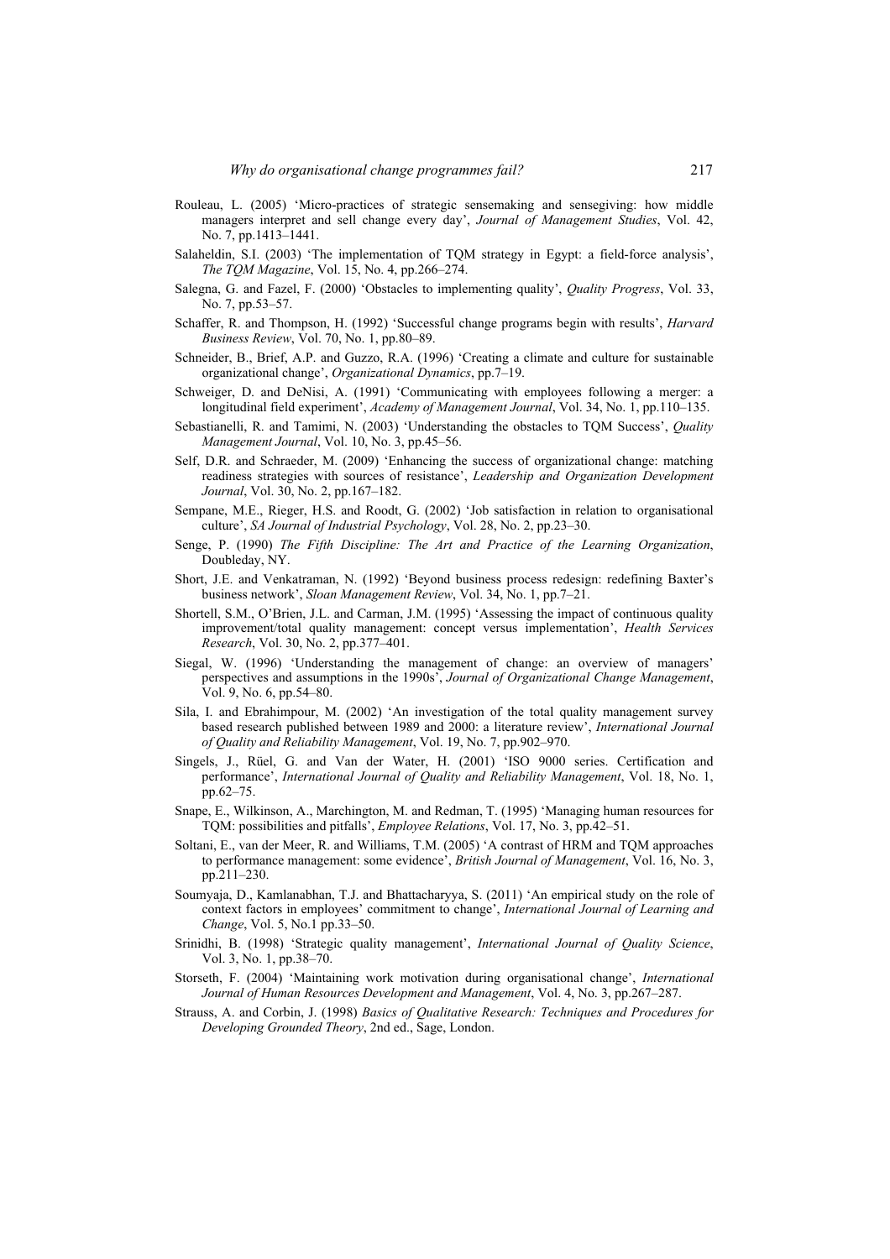- Rouleau, L. (2005) 'Micro-practices of strategic sensemaking and sensegiving: how middle managers interpret and sell change every day', *Journal of Management Studies*, Vol. 42, No. 7, pp.1413–1441.
- Salaheldin, S.I. (2003) 'The implementation of TQM strategy in Egypt: a field-force analysis', *The TQM Magazine*, Vol. 15, No. 4, pp.266–274.
- Salegna, G. and Fazel, F. (2000) 'Obstacles to implementing quality', *Quality Progress*, Vol. 33, No. 7, pp.53–57.
- Schaffer, R. and Thompson, H. (1992) 'Successful change programs begin with results', *Harvard Business Review*, Vol. 70, No. 1, pp.80–89.
- Schneider, B., Brief, A.P. and Guzzo, R.A. (1996) 'Creating a climate and culture for sustainable organizational change', *Organizational Dynamics*, pp.7–19.
- Schweiger, D. and DeNisi, A. (1991) 'Communicating with employees following a merger: a longitudinal field experiment', *Academy of Management Journal*, Vol. 34, No. 1, pp.110–135.
- Sebastianelli, R. and Tamimi, N. (2003) 'Understanding the obstacles to TQM Success', *Quality Management Journal*, Vol. 10, No. 3, pp.45–56.
- Self, D.R. and Schraeder, M. (2009) 'Enhancing the success of organizational change: matching readiness strategies with sources of resistance', *Leadership and Organization Development Journal*, Vol. 30, No. 2, pp.167–182.
- Sempane, M.E., Rieger, H.S. and Roodt, G. (2002) 'Job satisfaction in relation to organisational culture', *SA Journal of Industrial Psychology*, Vol. 28, No. 2, pp.23–30.
- Senge, P. (1990) *The Fifth Discipline: The Art and Practice of the Learning Organization*, Doubleday, NY.
- Short, J.E. and Venkatraman, N. (1992) 'Beyond business process redesign: redefining Baxter's business network', *Sloan Management Review*, Vol. 34, No. 1, pp.7–21.
- Shortell, S.M., O'Brien, J.L. and Carman, J.M. (1995) 'Assessing the impact of continuous quality improvement/total quality management: concept versus implementation', *Health Services Research*, Vol. 30, No. 2, pp.377–401.
- Siegal, W. (1996) 'Understanding the management of change: an overview of managers' perspectives and assumptions in the 1990s', *Journal of Organizational Change Management*, Vol. 9, No. 6, pp.54–80.
- Sila, I. and Ebrahimpour, M. (2002) 'An investigation of the total quality management survey based research published between 1989 and 2000: a literature review', *International Journal of Quality and Reliability Management*, Vol. 19, No. 7, pp.902–970.
- Singels, J., Rüel, G. and Van der Water, H. (2001) 'ISO 9000 series. Certification and performance', *International Journal of Quality and Reliability Management*, Vol. 18, No. 1, pp.62–75.
- Snape, E., Wilkinson, A., Marchington, M. and Redman, T. (1995) 'Managing human resources for TQM: possibilities and pitfalls', *Employee Relations*, Vol. 17, No. 3, pp.42–51.
- Soltani, E., van der Meer, R. and Williams, T.M. (2005) 'A contrast of HRM and TQM approaches to performance management: some evidence', *British Journal of Management*, Vol. 16, No. 3, pp.211–230.
- Soumyaja, D., Kamlanabhan, T.J. and Bhattacharyya, S. (2011) 'An empirical study on the role of context factors in employees' commitment to change', *International Journal of Learning and Change*, Vol. 5, No.1 pp.33–50.
- Srinidhi, B. (1998) 'Strategic quality management', *International Journal of Quality Science*, Vol. 3, No. 1, pp.38–70.
- Storseth, F. (2004) 'Maintaining work motivation during organisational change', *International Journal of Human Resources Development and Management*, Vol. 4, No. 3, pp.267–287.
- Strauss, A. and Corbin, J. (1998) *Basics of Qualitative Research: Techniques and Procedures for Developing Grounded Theory*, 2nd ed., Sage, London.